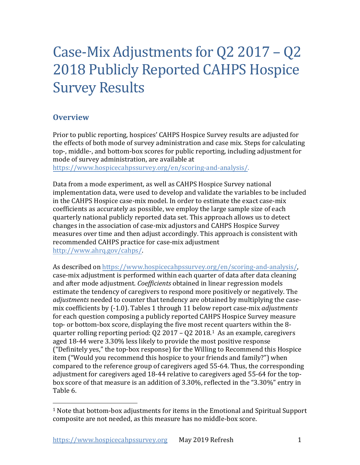# Case-Mix Adjustments for Q2 2017 – Q2 2018 Publicly Reported CAHPS Hospice Survey Results

# **Overview**

Prior to public reporting, hospices' CAHPS Hospice Survey results are adjusted for the effects of both mode of survey administration and case mix. Steps for calculating top-, middle-, and bottom-box scores for public reporting, including adjustment for mode of survey administration, are available at

[https://www.hospicecahpssurvey.org/en/scoring-and-analysis/.](https://hospicecahpssurvey.org/en/public-reporting/scoring-and-analysis/)

Data from a mode experiment, as well as CAHPS Hospice Survey national implementation data, were used to develop and validate the variables to be included in the CAHPS Hospice case-mix model. In order to estimate the exact case-mix coefficients as accurately as possible, we employ the large sample size of each quarterly national publicly reported data set. This approach allows us to detect changes in the association of case-mix adjustors and CAHPS Hospice Survey measures over time and then adjust accordingly. This approach is consistent with recommended CAHPS practice for case-mix adjustment [http://www.ahrq.gov/cahps/.](https://www.ahrq.gov/cahps/)

As described on [https://www.hospicecahpssurvey.org/en/scoring-and-analysis/](https://hospicecahpssurvey.org/en/public-reporting/scoring-and-analysis/), case-mix adjustment is performed within each quarter of data after data cleaning and after mode adjustment. *Coefficients* obtained in linear regression models estimate the tendency of caregivers to respond more positively or negatively. The *adjustments* needed to counter that tendency are obtained by multiplying the casemix coefficients by (-1.0). Tables 1 through 11 below report case-mix *adjustments* for each question composing a publicly reported CAHPS Hospice Survey measure top- or bottom-box score, displaying the five most recent quarters within the 8 quarter rolling reporting period: Q2 2017 – Q2 2018. [1](#page-0-0) As an example, caregivers aged 18-44 were 3.30% less likely to provide the most positive response ("Definitely yes," the top-box response) for the Willing to Recommend this Hospice item ("Would you recommend this hospice to your friends and family?") when compared to the reference group of caregivers aged 55-64. Thus, the corresponding adjustment for caregivers aged 18-44 relative to caregivers aged 55-64 for the topbox score of that measure is an addition of 3.30%, reflected in the "3.30%" entry in Table 6.

<span id="page-0-0"></span> $1$  Note that bottom-box adjustments for items in the Emotional and Spiritual Support composite are not needed, as this measure has no middle-box score.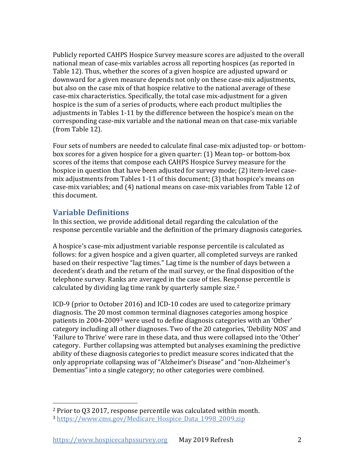Publicly reported CAHPS Hospice Survey measure scores are adjusted to the overall national mean of case-mix variables across all reporting hospices (as reported in Table 12). Thus, whether the scores of a given hospice are adjusted upward or downward for a given measure depends not only on these case-mix adjustments, but also on the case mix of that hospice relative to the national average of these case-mix characteristics. Specifically, the total case mix-adjustment for a given hospice is the sum of a series of products, where each product multiplies the adjustments in Tables 1-11 by the difference between the hospice's mean on the corresponding case-mix variable and the national mean on that case-mix variable (from Table 12).

Four sets of numbers are needed to calculate final case-mix adjusted top- or bottombox scores for a given hospice for a given quarter: (1) Mean top- or bottom-box scores of the items that compose each CAHPS Hospice Survey measure for the hospice in question that have been adjusted for survey mode; (2) item-level casemix adjustments from Tables 1-11 of this document; (3) that hospice's means on case-mix variables; and (4) national means on case-mix variables from Table 12 of this document.

## **Variable Definitions**

In this section, we provide additional detail regarding the calculation of the response percentile variable and the definition of the primary diagnosis categories.

A hospice's case-mix adjustment variable response percentile is calculated as follows: for a given hospice and a given quarter, all completed surveys are ranked based on their respective "lag times." Lag time is the number of days between a decedent's death and the return of the mail survey, or the final disposition of the telephone survey. Ranks are averaged in the case of ties. Response percentile is calculated by dividing lag time rank by quarterly sample size.<sup>[2](#page-1-0)</sup>

ICD-9 (prior to October 2016) and ICD-10 codes are used to categorize primary diagnosis. The 20 most common terminal diagnoses categories among hospice patients in 2004-2009[3](#page-1-1) were used to define diagnosis categories with an 'Other' category including all other diagnoses. Two of the 20 categories, 'Debility NOS' and 'Failure to Thrive' were rare in these data, and thus were collapsed into the 'Other' category. Further collapsing was attempted but analyses examining the predictive ability of these diagnosis categories to predict measure scores indicated that the only appropriate collapsing was of "Alzheimer's Disease" and "non-Alzheimer's Dementias" into a single category; no other categories were combined.

<span id="page-1-0"></span><sup>2</sup> Prior to Q3 2017, response percentile was calculated within month.

<span id="page-1-1"></span><sup>&</sup>lt;sup>3</sup> https://www.cms.gov/Medicare Hospice Data 1998 2009.zip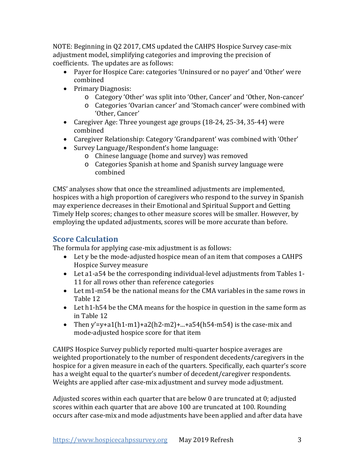NOTE: Beginning in Q2 2017, CMS updated the CAHPS Hospice Survey case-mix adjustment model, simplifying categories and improving the precision of coefficients. The updates are as follows:

- Payer for Hospice Care: categories 'Uninsured or no payer' and 'Other' were combined
- Primary Diagnosis:
	- o Category 'Other' was split into 'Other, Cancer' and 'Other, Non-cancer'
	- o Categories 'Ovarian cancer' and 'Stomach cancer' were combined with 'Other, Cancer'
- Caregiver Age: Three youngest age groups (18-24, 25-34, 35-44) were combined
- Caregiver Relationship: Category 'Grandparent' was combined with 'Other'
- Survey Language/Respondent's home language:
	- o Chinese language (home and survey) was removed
	- o Categories Spanish at home and Spanish survey language were combined

CMS' analyses show that once the streamlined adjustments are implemented, hospices with a high proportion of caregivers who respond to the survey in Spanish may experience decreases in their Emotional and Spiritual Support and Getting Timely Help scores; changes to other measure scores will be smaller. However, by employing the updated adjustments, scores will be more accurate than before.

# **Score Calculation**

The formula for applying case-mix adjustment is as follows:

- Let y be the mode-adjusted hospice mean of an item that composes a CAHPS Hospice Survey measure
- Let a1-a54 be the corresponding individual-level adjustments from Tables 1- 11 for all rows other than reference categories
- Let m1-m54 be the national means for the CMA variables in the same rows in Table 12
- Let h1-h54 be the CMA means for the hospice in question in the same form as in Table 12
- Then y'=y+a1(h1-m1)+a2(h2-m2)+...+a54(h54-m54) is the case-mix and mode-adjusted hospice score for that item

CAHPS Hospice Survey publicly reported multi-quarter hospice averages are weighted proportionately to the number of respondent decedents/caregivers in the hospice for a given measure in each of the quarters. Specifically, each quarter's score has a weight equal to the quarter's number of decedent/caregiver respondents. Weights are applied after case-mix adjustment and survey mode adjustment.

Adjusted scores within each quarter that are below 0 are truncated at 0; adjusted scores within each quarter that are above 100 are truncated at 100. Rounding occurs after case-mix and mode adjustments have been applied and after data have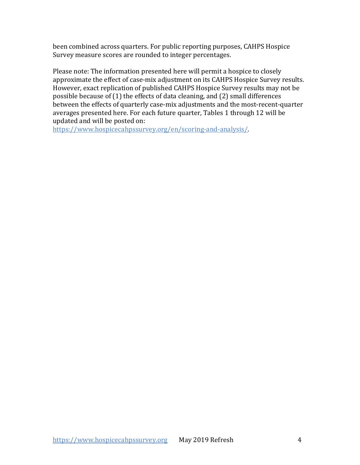been combined across quarters. For public reporting purposes, CAHPS Hospice Survey measure scores are rounded to integer percentages.

Please note: The information presented here will permit a hospice to closely approximate the effect of case-mix adjustment on its CAHPS Hospice Survey results. However, exact replication of published CAHPS Hospice Survey results may not be possible because of (1) the effects of data cleaning, and (2) small differences between the effects of quarterly case-mix adjustments and the most-recent-quarter averages presented here. For each future quarter, Tables 1 through 12 will be updated and will be posted on:

[https://www.hospicecahpssurvey.org/en/scoring-and-analysis/.](https://hospicecahpssurvey.org/en/public-reporting/scoring-and-analysis/)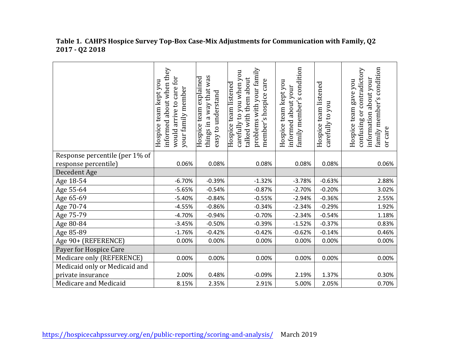|                                | about when they<br>for<br>team kept you<br>care<br>your family member<br>arrive to<br>informed<br>Hospice<br>would: | was<br>Hospice team explained<br>way that<br>easy to understand<br>$\sigma$<br>things in | problems with your family<br>carefully to you when you<br>talked with them about<br>member's hospice care<br>Hospice team listened | s condition<br>Hospice team kept you<br>about your<br>family member'<br>informed | Hospice team listened<br>carefully to you | family member's condition<br>confusing or contradictory<br>information about your<br>Hospice team gave you<br>care<br>ðr |
|--------------------------------|---------------------------------------------------------------------------------------------------------------------|------------------------------------------------------------------------------------------|------------------------------------------------------------------------------------------------------------------------------------|----------------------------------------------------------------------------------|-------------------------------------------|--------------------------------------------------------------------------------------------------------------------------|
| Response percentile (per 1% of |                                                                                                                     |                                                                                          |                                                                                                                                    |                                                                                  |                                           |                                                                                                                          |
| response percentile)           | 0.06%                                                                                                               | 0.08%                                                                                    | 0.08%                                                                                                                              | 0.08%                                                                            | 0.08%                                     | 0.06%                                                                                                                    |
| Decedent Age                   |                                                                                                                     |                                                                                          |                                                                                                                                    |                                                                                  |                                           |                                                                                                                          |
| Age 18-54                      | $-6.70%$                                                                                                            | $-0.39%$                                                                                 | $-1.32%$                                                                                                                           | $-3.78%$                                                                         | $-0.63%$                                  | 2.88%                                                                                                                    |
| Age 55-64                      | $-5.65%$                                                                                                            | $-0.54%$                                                                                 | $-0.87%$                                                                                                                           | $-2.70%$                                                                         | $-0.20%$                                  | 3.02%                                                                                                                    |
| Age 65-69                      | $-5.40%$                                                                                                            | $-0.84%$                                                                                 | $-0.55%$                                                                                                                           | $-2.94%$                                                                         | $-0.36%$                                  | 2.55%                                                                                                                    |
| Age 70-74                      | $-4.55%$                                                                                                            | $-0.86%$                                                                                 | $-0.34%$                                                                                                                           | $-2.34%$                                                                         | $-0.29%$                                  | 1.92%                                                                                                                    |
| Age 75-79                      | $-4.70%$                                                                                                            | $-0.94%$                                                                                 | $-0.70%$                                                                                                                           | $-2.34%$                                                                         | $-0.54%$                                  | 1.18%                                                                                                                    |
| Age 80-84                      | $-3.45%$                                                                                                            | $-0.50%$                                                                                 | $-0.39%$                                                                                                                           | $-1.52%$                                                                         | $-0.37%$                                  | 0.83%                                                                                                                    |
| Age 85-89                      | $-1.76%$                                                                                                            | $-0.42%$                                                                                 | $-0.42%$                                                                                                                           | $-0.62%$                                                                         | $-0.14%$                                  | 0.46%                                                                                                                    |
| Age 90+ (REFERENCE)            | 0.00%                                                                                                               | 0.00%                                                                                    | 0.00%                                                                                                                              | 0.00%                                                                            | 0.00%                                     | 0.00%                                                                                                                    |
| Payer for Hospice Care         |                                                                                                                     |                                                                                          |                                                                                                                                    |                                                                                  |                                           |                                                                                                                          |
| Medicare only (REFERENCE)      | 0.00%                                                                                                               | 0.00%                                                                                    | 0.00%                                                                                                                              | 0.00%                                                                            | 0.00%                                     | 0.00%                                                                                                                    |
| Medicaid only or Medicaid and  |                                                                                                                     |                                                                                          |                                                                                                                                    |                                                                                  |                                           |                                                                                                                          |
| private insurance              | 2.00%                                                                                                               | 0.48%                                                                                    | $-0.09%$                                                                                                                           | 2.19%                                                                            | 1.37%                                     | 0.30%                                                                                                                    |
| Medicare and Medicaid          | 8.15%                                                                                                               | 2.35%                                                                                    | 2.91%                                                                                                                              | 5.00%                                                                            | 2.05%                                     | 0.70%                                                                                                                    |

#### **Table 1. CAHPS Hospice Survey Top-Box Case-Mix Adjustments for Communication with Family, Q2 2017 - Q2 2018**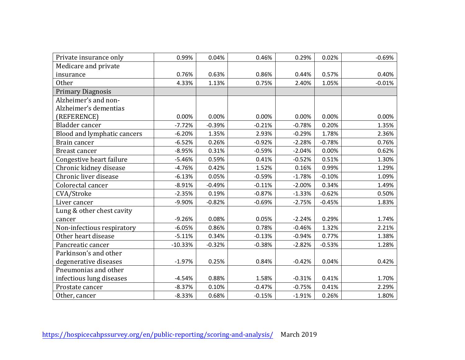| Private insurance only      | 0.99%     | 0.04%    | 0.46%    | 0.29%    | 0.02%    | $-0.69%$ |
|-----------------------------|-----------|----------|----------|----------|----------|----------|
| Medicare and private        |           |          |          |          |          |          |
| insurance                   | 0.76%     | 0.63%    | 0.86%    | 0.44%    | 0.57%    | 0.40%    |
| <b>Other</b>                | 4.33%     | 1.13%    | 0.75%    | 2.40%    | 1.05%    | $-0.01%$ |
| <b>Primary Diagnosis</b>    |           |          |          |          |          |          |
| Alzheimer's and non-        |           |          |          |          |          |          |
| Alzheimer's dementias       |           |          |          |          |          |          |
| (REFERENCE)                 | 0.00%     | 0.00%    | 0.00%    | 0.00%    | 0.00%    | 0.00%    |
| Bladder cancer              | $-7.72%$  | $-0.39%$ | $-0.21%$ | $-0.78%$ | 0.20%    | 1.35%    |
| Blood and lymphatic cancers | $-6.20%$  | 1.35%    | 2.93%    | $-0.29%$ | 1.78%    | 2.36%    |
| Brain cancer                | $-6.52%$  | 0.26%    | $-0.92%$ | $-2.28%$ | $-0.78%$ | 0.76%    |
| Breast cancer               | $-8.95%$  | 0.31%    | $-0.59%$ | $-2.04%$ | 0.00%    | 0.62%    |
| Congestive heart failure    | $-5.46%$  | 0.59%    | 0.41%    | $-0.52%$ | 0.51%    | 1.30%    |
| Chronic kidney disease      | $-4.76%$  | 0.42%    | 1.52%    | 0.16%    | 0.99%    | 1.29%    |
| Chronic liver disease       | $-6.13%$  | 0.05%    | $-0.59%$ | $-1.78%$ | $-0.10%$ | 1.09%    |
| Colorectal cancer           | $-8.91%$  | $-0.49%$ | $-0.11%$ | $-2.00%$ | 0.34%    | 1.49%    |
| CVA/Stroke                  | $-2.35%$  | 0.19%    | $-0.87%$ | $-1.33%$ | $-0.62%$ | 0.50%    |
| Liver cancer                | $-9.90%$  | $-0.82%$ | $-0.69%$ | $-2.75%$ | $-0.45%$ | 1.83%    |
| Lung & other chest cavity   |           |          |          |          |          |          |
| cancer                      | $-9.26%$  | 0.08%    | 0.05%    | $-2.24%$ | 0.29%    | 1.74%    |
| Non-infectious respiratory  | $-6.05%$  | 0.86%    | 0.78%    | $-0.46%$ | 1.32%    | 2.21%    |
| Other heart disease         | $-5.11%$  | 0.34%    | $-0.13%$ | $-0.94%$ | 0.77%    | 1.38%    |
| Pancreatic cancer           | $-10.33%$ | $-0.32%$ | $-0.38%$ | $-2.82%$ | $-0.53%$ | 1.28%    |
| Parkinson's and other       |           |          |          |          |          |          |
| degenerative diseases       | $-1.97%$  | 0.25%    | 0.84%    | $-0.42%$ | 0.04%    | 0.42%    |
| Pneumonias and other        |           |          |          |          |          |          |
| infectious lung diseases    | $-4.54%$  | 0.88%    | 1.58%    | $-0.31%$ | 0.41%    | 1.70%    |
| Prostate cancer             | $-8.37%$  | 0.10%    | $-0.47%$ | $-0.75%$ | 0.41%    | 2.29%    |
| Other, cancer               | $-8.33%$  | 0.68%    | $-0.15%$ | $-1.91%$ | 0.26%    | 1.80%    |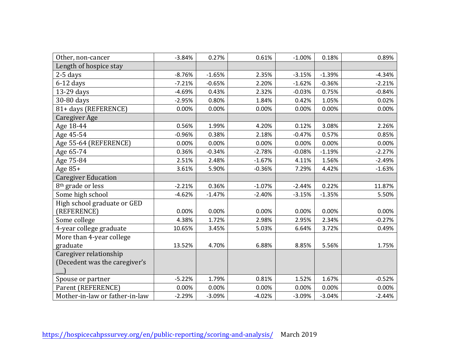| Other, non-cancer              | $-3.84%$ | 0.27%    | 0.61%    | $-1.00%$ | 0.18%    | 0.89%    |
|--------------------------------|----------|----------|----------|----------|----------|----------|
| Length of hospice stay         |          |          |          |          |          |          |
| $2-5$ days                     | $-8.76%$ | $-1.65%$ | 2.35%    | $-3.15%$ | $-1.39%$ | $-4.34%$ |
| $6-12$ days                    | $-7.21%$ | $-0.65%$ | 2.20%    | $-1.62%$ | $-0.36%$ | $-2.21%$ |
| 13-29 days                     | $-4.69%$ | 0.43%    | 2.32%    | $-0.03%$ | 0.75%    | $-0.84%$ |
| 30-80 days                     | $-2.95%$ | 0.80%    | 1.84%    | 0.42%    | 1.05%    | 0.02%    |
| 81+ days (REFERENCE)           | 0.00%    | 0.00%    | 0.00%    | 0.00%    | 0.00%    | 0.00%    |
| Caregiver Age                  |          |          |          |          |          |          |
| Age 18-44                      | 0.56%    | 1.99%    | 4.20%    | 0.12%    | 3.08%    | 2.26%    |
| Age 45-54                      | $-0.96%$ | 0.38%    | 2.18%    | $-0.47%$ | 0.57%    | 0.85%    |
| Age 55-64 (REFERENCE)          | 0.00%    | 0.00%    | 0.00%    | 0.00%    | 0.00%    | 0.00%    |
| Age 65-74                      | 0.36%    | $-0.34%$ | $-2.78%$ | $-0.08%$ | $-1.19%$ | $-2.27%$ |
| Age 75-84                      | 2.51%    | 2.48%    | $-1.67%$ | 4.11%    | 1.56%    | $-2.49%$ |
| Age $85+$                      | 3.61%    | 5.90%    | $-0.36%$ | 7.29%    | 4.42%    | $-1.63%$ |
| <b>Caregiver Education</b>     |          |          |          |          |          |          |
| 8 <sup>th</sup> grade or less  | $-2.21%$ | 0.36%    | $-1.07%$ | $-2.44%$ | 0.22%    | 11.87%   |
| Some high school               | $-4.62%$ | $-1.47%$ | $-2.40%$ | $-3.15%$ | $-1.35%$ | 5.50%    |
| High school graduate or GED    |          |          |          |          |          |          |
| (REFERENCE)                    | 0.00%    | 0.00%    | 0.00%    | 0.00%    | 0.00%    | 0.00%    |
| Some college                   | 4.38%    | 1.72%    | 2.98%    | 2.95%    | 2.34%    | $-0.27%$ |
| 4-year college graduate        | 10.65%   | 3.45%    | 5.03%    | 6.64%    | 3.72%    | 0.49%    |
| More than 4-year college       |          |          |          |          |          |          |
| graduate                       | 13.52%   | 4.70%    | 6.88%    | 8.85%    | 5.56%    | 1.75%    |
| Caregiver relationship         |          |          |          |          |          |          |
| (Decedent was the caregiver's  |          |          |          |          |          |          |
|                                |          |          |          |          |          |          |
| Spouse or partner              | $-5.22%$ | 1.79%    | 0.81%    | 1.52%    | 1.67%    | $-0.52%$ |
| Parent (REFERENCE)             | 0.00%    | 0.00%    | 0.00%    | 0.00%    | 0.00%    | 0.00%    |
| Mother-in-law or father-in-law | $-2.29%$ | $-3.09%$ | $-4.02%$ | $-3.09%$ | $-3.04%$ | $-2.44%$ |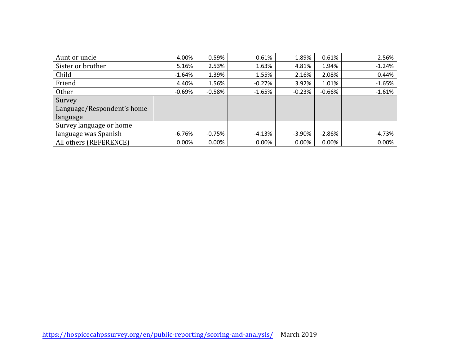| Aunt or uncle              | 4.00%    | $-0.59%$ | $-0.61%$ | 1.89%     | $-0.61%$ | $-2.56%$ |
|----------------------------|----------|----------|----------|-----------|----------|----------|
| Sister or brother          | 5.16%    | 2.53%    | 1.63%    | 4.81%     | 1.94%    | $-1.24%$ |
| Child                      | $-1.64%$ | 1.39%    | 1.55%    | 2.16%     | 2.08%    | 0.44%    |
| Friend                     | 4.40%    | 1.56%    | $-0.27%$ | 3.92%     | 1.01%    | $-1.65%$ |
| <b>Other</b>               | $-0.69%$ | $-0.58%$ | $-1.65%$ | $-0.23%$  | $-0.66%$ | $-1.61%$ |
| Survey                     |          |          |          |           |          |          |
| Language/Respondent's home |          |          |          |           |          |          |
| language                   |          |          |          |           |          |          |
| Survey language or home    |          |          |          |           |          |          |
| language was Spanish       | -6.76%   | $-0.75%$ | -4.13%   | $-3.90\%$ | $-2.86%$ | -4.73%   |
| All others (REFERENCE)     | 0.00%    | 0.00%    | 0.00%    | 0.00%     | 0.00%    | 0.00%    |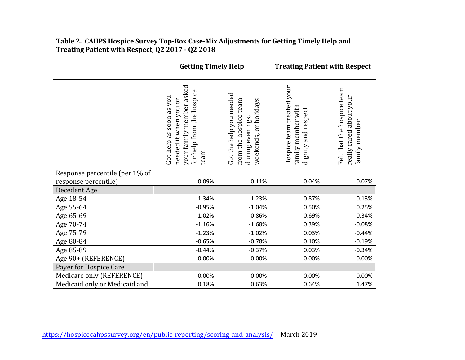### **Table 2. CAHPS Hospice Survey Top-Box Case-Mix Adjustments for Getting Timely Help and Treating Patient with Respect, Q2 2017 - Q2 2018**

|                                | <b>Getting Timely Help</b>                                                                                        |                                                                                               |                                                                        | <b>Treating Patient with Respect</b>                                   |
|--------------------------------|-------------------------------------------------------------------------------------------------------------------|-----------------------------------------------------------------------------------------------|------------------------------------------------------------------------|------------------------------------------------------------------------|
|                                | your family member asked<br>for help from the hospice<br>Got help as soon as you<br>needed it when you or<br>team | Got the help you needed<br>from the hospice team<br>weekends, or holidays<br>during evenings, | Hospice team treated your<br>family member with<br>dignity and respect | Felt that the hospice team<br>really cared about your<br>family member |
| Response percentile (per 1% of |                                                                                                                   |                                                                                               |                                                                        |                                                                        |
| response percentile)           | 0.09%                                                                                                             | 0.11%                                                                                         | 0.04%                                                                  | 0.07%                                                                  |
| Decedent Age                   |                                                                                                                   |                                                                                               |                                                                        |                                                                        |
| Age 18-54                      | $-1.34%$                                                                                                          | $-1.23%$                                                                                      | 0.87%                                                                  | 0.13%                                                                  |
| Age 55-64                      | $-0.95%$                                                                                                          | $-1.04%$                                                                                      | 0.50%                                                                  | 0.25%                                                                  |
| Age 65-69                      | $-1.02%$                                                                                                          | $-0.86%$                                                                                      | 0.69%                                                                  | 0.34%                                                                  |
| Age 70-74                      | $-1.16%$                                                                                                          | $-1.68%$                                                                                      | 0.39%                                                                  | $-0.08%$                                                               |
| Age 75-79                      | $-1.23%$                                                                                                          | $-1.02%$                                                                                      | 0.03%                                                                  | $-0.44%$                                                               |
| Age 80-84                      | $-0.65%$                                                                                                          | $-0.78%$                                                                                      | 0.10%                                                                  | $-0.19%$                                                               |
| Age 85-89                      | $-0.44%$                                                                                                          | $-0.37%$                                                                                      | 0.03%                                                                  | $-0.34%$                                                               |
| Age 90+ (REFERENCE)            | 0.00%                                                                                                             | 0.00%                                                                                         | 0.00%                                                                  | 0.00%                                                                  |
| Payer for Hospice Care         |                                                                                                                   |                                                                                               |                                                                        |                                                                        |
| Medicare only (REFERENCE)      | 0.00%                                                                                                             | 0.00%                                                                                         | 0.00%                                                                  | 0.00%                                                                  |
| Medicaid only or Medicaid and  | 0.18%                                                                                                             | 0.63%                                                                                         | 0.64%                                                                  | 1.47%                                                                  |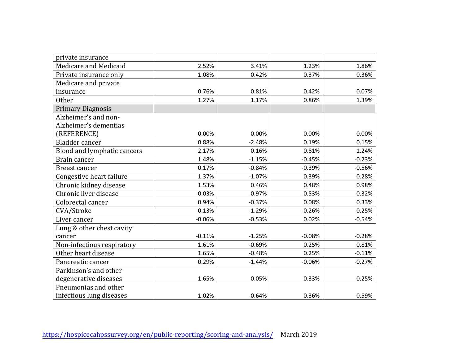| private insurance           |          |          |          |          |
|-----------------------------|----------|----------|----------|----------|
| Medicare and Medicaid       | 2.52%    | 3.41%    | 1.23%    | 1.86%    |
| Private insurance only      | 1.08%    | 0.42%    | 0.37%    | 0.36%    |
| Medicare and private        |          |          |          |          |
| insurance                   | 0.76%    | 0.81%    | 0.42%    | 0.07%    |
| <b>Other</b>                | 1.27%    | 1.17%    | 0.86%    | 1.39%    |
| <b>Primary Diagnosis</b>    |          |          |          |          |
| Alzheimer's and non-        |          |          |          |          |
| Alzheimer's dementias       |          |          |          |          |
| (REFERENCE)                 | 0.00%    | 0.00%    | 0.00%    | 0.00%    |
| Bladder cancer              | 0.88%    | $-2.48%$ | 0.19%    | 0.15%    |
| Blood and lymphatic cancers | 2.17%    | 0.16%    | 0.81%    | 1.24%    |
| Brain cancer                | 1.48%    | $-1.15%$ | $-0.45%$ | $-0.23%$ |
| <b>Breast cancer</b>        | 0.17%    | $-0.84%$ | $-0.39%$ | $-0.56%$ |
| Congestive heart failure    | 1.37%    | $-1.07%$ | 0.39%    | 0.28%    |
| Chronic kidney disease      | 1.53%    | 0.46%    | 0.48%    | 0.98%    |
| Chronic liver disease       | 0.03%    | $-0.97%$ | $-0.53%$ | $-0.32%$ |
| Colorectal cancer           | 0.94%    | $-0.37%$ | 0.08%    | 0.33%    |
| CVA/Stroke                  | 0.13%    | $-1.29%$ | $-0.26%$ | $-0.25%$ |
| Liver cancer                | $-0.06%$ | $-0.53%$ | 0.02%    | $-0.54%$ |
| Lung & other chest cavity   |          |          |          |          |
| cancer                      | $-0.11%$ | $-1.25%$ | $-0.08%$ | $-0.28%$ |
| Non-infectious respiratory  | 1.61%    | $-0.69%$ | 0.25%    | 0.81%    |
| Other heart disease         | 1.65%    | $-0.48%$ | 0.25%    | $-0.11%$ |
| Pancreatic cancer           | 0.29%    | $-1.44%$ | $-0.06%$ | $-0.27%$ |
| Parkinson's and other       |          |          |          |          |
| degenerative diseases       | 1.65%    | 0.05%    | 0.33%    | 0.25%    |
| Pneumonias and other        |          |          |          |          |
| infectious lung diseases    | 1.02%    | $-0.64%$ | 0.36%    | 0.59%    |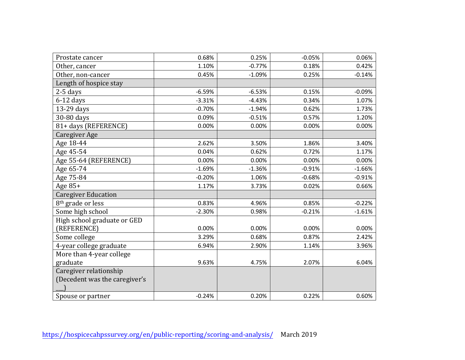| Prostate cancer               | 0.68%    | 0.25%    | $-0.05%$ | 0.06%    |
|-------------------------------|----------|----------|----------|----------|
| Other, cancer                 | 1.10%    | $-0.77%$ | 0.18%    | 0.42%    |
| Other, non-cancer             | 0.45%    | $-1.09%$ | 0.25%    | $-0.14%$ |
| Length of hospice stay        |          |          |          |          |
| $2-5$ days                    | $-6.59%$ | $-6.53%$ | 0.15%    | $-0.09%$ |
| $6-12$ days                   | $-3.31%$ | $-4.43%$ | 0.34%    | 1.07%    |
| 13-29 days                    | $-0.70%$ | $-1.94%$ | 0.62%    | 1.73%    |
| 30-80 days                    | 0.09%    | $-0.51%$ | 0.57%    | 1.20%    |
| 81+ days (REFERENCE)          | 0.00%    | 0.00%    | 0.00%    | 0.00%    |
| Caregiver Age                 |          |          |          |          |
| Age 18-44                     | 2.62%    | 3.50%    | 1.86%    | 3.40%    |
| Age 45-54                     | 0.04%    | 0.62%    | 0.72%    | 1.17%    |
| Age 55-64 (REFERENCE)         | 0.00%    | 0.00%    | 0.00%    | 0.00%    |
| Age 65-74                     | $-1.69%$ | $-1.36%$ | $-0.91%$ | $-1.66%$ |
| Age 75-84                     | $-0.20%$ | 1.06%    | $-0.68%$ | $-0.91%$ |
| Age $85+$                     | 1.17%    | 3.73%    | 0.02%    | 0.66%    |
| <b>Caregiver Education</b>    |          |          |          |          |
| 8 <sup>th</sup> grade or less | 0.83%    | 4.96%    | 0.85%    | $-0.22%$ |
| Some high school              | $-2.30%$ | 0.98%    | $-0.21%$ | $-1.61%$ |
| High school graduate or GED   |          |          |          |          |
| (REFERENCE)                   | 0.00%    | 0.00%    | 0.00%    | 0.00%    |
| Some college                  | 3.29%    | 0.68%    | 0.87%    | 2.42%    |
| 4-year college graduate       | 6.94%    | 2.90%    | 1.14%    | 3.96%    |
| More than 4-year college      |          |          |          |          |
| graduate                      | 9.63%    | 4.75%    | 2.07%    | 6.04%    |
| Caregiver relationship        |          |          |          |          |
| (Decedent was the caregiver's |          |          |          |          |
|                               |          |          |          |          |
| Spouse or partner             | $-0.24%$ | 0.20%    | 0.22%    | 0.60%    |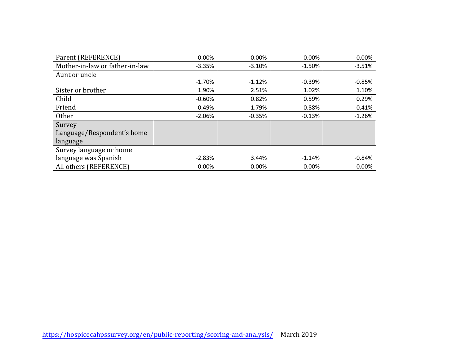| Parent (REFERENCE)             | 0.00%     | 0.00%    | 0.00%    | 0.00%    |
|--------------------------------|-----------|----------|----------|----------|
| Mother-in-law or father-in-law | $-3.35%$  | $-3.10%$ | $-1.50%$ | $-3.51%$ |
| Aunt or uncle                  |           |          |          |          |
|                                | $-1.70\%$ | $-1.12%$ | $-0.39%$ | $-0.85%$ |
| Sister or brother              | 1.90%     | 2.51%    | 1.02%    | 1.10%    |
| Child                          | $-0.60\%$ | 0.82%    | 0.59%    | 0.29%    |
| Friend                         | 0.49%     | 1.79%    | 0.88%    | 0.41%    |
| <b>Other</b>                   | $-2.06%$  | $-0.35%$ | $-0.13%$ | $-1.26%$ |
| Survey                         |           |          |          |          |
| Language/Respondent's home     |           |          |          |          |
| language                       |           |          |          |          |
| Survey language or home        |           |          |          |          |
| language was Spanish           | $-2.83%$  | 3.44%    | $-1.14%$ | $-0.84%$ |
| All others (REFERENCE)         | 0.00%     | 0.00%    | 0.00%    | 0.00%    |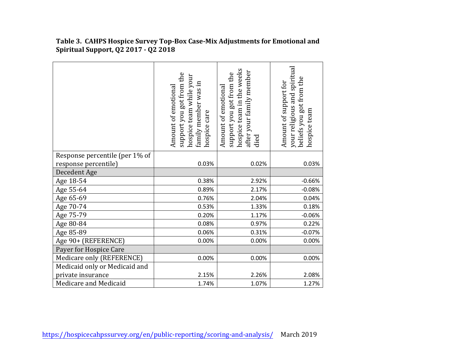|                                | support you got from the<br>hospice team while your<br>family member was in<br>Amount of emotional<br>hospice care | hospice team in the weeks<br>after your family member<br>support you got from the<br>Amount of emotional<br>died | your religious and spiritual<br>beliefs you got from the<br>Amount of support for<br>hospice team |
|--------------------------------|--------------------------------------------------------------------------------------------------------------------|------------------------------------------------------------------------------------------------------------------|---------------------------------------------------------------------------------------------------|
| Response percentile (per 1% of |                                                                                                                    |                                                                                                                  |                                                                                                   |
| response percentile)           | 0.03%                                                                                                              | 0.02%                                                                                                            | 0.03%                                                                                             |
| Decedent Age                   |                                                                                                                    |                                                                                                                  |                                                                                                   |
| Age 18-54                      | 0.38%                                                                                                              | 2.92%                                                                                                            | $-0.66%$                                                                                          |
| Age 55-64                      | 0.89%                                                                                                              | 2.17%                                                                                                            | $-0.08%$                                                                                          |
| Age 65-69                      | 0.76%                                                                                                              | 2.04%                                                                                                            | 0.04%                                                                                             |
| Age 70-74                      | 0.53%                                                                                                              | 1.33%                                                                                                            | 0.18%                                                                                             |
| Age 75-79                      | 0.20%                                                                                                              | 1.17%                                                                                                            | $-0.06%$                                                                                          |
| Age 80-84                      | 0.08%                                                                                                              | 0.97%                                                                                                            | 0.22%                                                                                             |
| Age 85-89                      | 0.06%                                                                                                              | 0.31%                                                                                                            | $-0.07%$                                                                                          |
| Age 90+ (REFERENCE)            | 0.00%                                                                                                              | 0.00%                                                                                                            | 0.00%                                                                                             |
| Payer for Hospice Care         |                                                                                                                    |                                                                                                                  |                                                                                                   |
| Medicare only (REFERENCE)      | 0.00%                                                                                                              | 0.00%                                                                                                            | 0.00%                                                                                             |
| Medicaid only or Medicaid and  |                                                                                                                    |                                                                                                                  |                                                                                                   |
| private insurance              | 2.15%                                                                                                              | 2.26%                                                                                                            | 2.08%                                                                                             |
| Medicare and Medicaid          | 1.74%                                                                                                              | 1.07%                                                                                                            | 1.27%                                                                                             |

**Table 3. CAHPS Hospice Survey Top-Box Case-Mix Adjustments for Emotional and Spiritual Support, Q2 2017 - Q2 2018**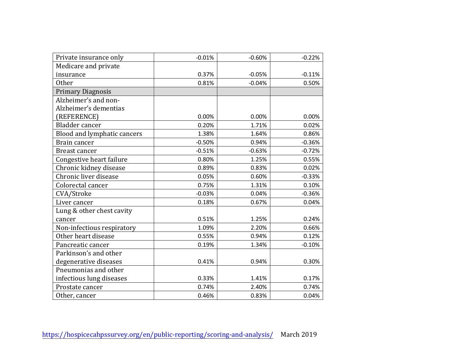| Private insurance only      | $-0.01%$ | $-0.60%$ | $-0.22%$ |
|-----------------------------|----------|----------|----------|
| Medicare and private        |          |          |          |
| insurance                   | 0.37%    | $-0.05%$ | $-0.11%$ |
| <b>Other</b>                | 0.81%    | $-0.04%$ | 0.50%    |
| <b>Primary Diagnosis</b>    |          |          |          |
| Alzheimer's and non-        |          |          |          |
| Alzheimer's dementias       |          |          |          |
| (REFERENCE)                 | 0.00%    | 0.00%    | 0.00%    |
| Bladder cancer              | 0.20%    | 1.71%    | 0.02%    |
| Blood and lymphatic cancers | 1.38%    | 1.64%    | 0.86%    |
| Brain cancer                | $-0.50%$ | 0.94%    | $-0.36%$ |
| Breast cancer               | $-0.51%$ | $-0.63%$ | $-0.72%$ |
| Congestive heart failure    | 0.80%    | 1.25%    | 0.55%    |
| Chronic kidney disease      | 0.89%    | 0.83%    | 0.02%    |
| Chronic liver disease       | 0.05%    | 0.60%    | $-0.33%$ |
| Colorectal cancer           | 0.75%    | 1.31%    | 0.10%    |
| CVA/Stroke                  | $-0.03%$ | 0.04%    | $-0.36%$ |
| Liver cancer                | 0.18%    | 0.67%    | 0.04%    |
| Lung & other chest cavity   |          |          |          |
| cancer                      | 0.51%    | 1.25%    | 0.24%    |
| Non-infectious respiratory  | 1.09%    | 2.20%    | 0.66%    |
| Other heart disease         | 0.55%    | 0.94%    | 0.12%    |
| Pancreatic cancer           | 0.19%    | 1.34%    | $-0.10%$ |
| Parkinson's and other       |          |          |          |
| degenerative diseases       | 0.41%    | 0.94%    | 0.30%    |
| Pneumonias and other        |          |          |          |
| infectious lung diseases    | 0.33%    | 1.41%    | 0.17%    |
| Prostate cancer             | 0.74%    | 2.40%    | 0.74%    |
| Other, cancer               | 0.46%    | 0.83%    | 0.04%    |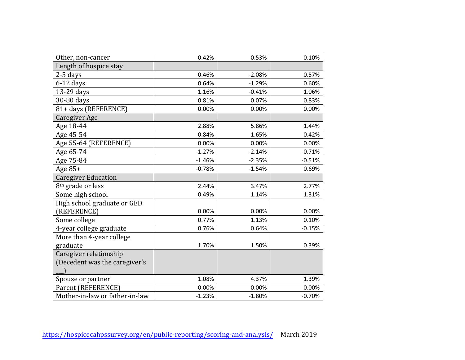| Other, non-cancer              | 0.42%    | 0.53%    | 0.10%    |
|--------------------------------|----------|----------|----------|
| Length of hospice stay         |          |          |          |
| $2-5$ days                     | 0.46%    | $-2.08%$ | 0.57%    |
| $6-12$ days                    | 0.64%    | $-1.29%$ | 0.60%    |
| 13-29 days                     | 1.16%    | $-0.41%$ | 1.06%    |
| 30-80 days                     | 0.81%    | 0.07%    | 0.83%    |
| 81+ days (REFERENCE)           | 0.00%    | 0.00%    | 0.00%    |
| Caregiver Age                  |          |          |          |
| Age 18-44                      | 2.88%    | 5.86%    | 1.44%    |
| Age 45-54                      | 0.84%    | 1.65%    | 0.42%    |
| Age 55-64 (REFERENCE)          | 0.00%    | 0.00%    | 0.00%    |
| Age 65-74                      | $-1.27%$ | $-2.14%$ | $-0.71%$ |
| Age 75-84                      | $-1.46%$ | $-2.35%$ | $-0.51%$ |
| Age $85+$                      | $-0.78%$ | $-1.54%$ | 0.69%    |
| <b>Caregiver Education</b>     |          |          |          |
| 8 <sup>th</sup> grade or less  | 2.44%    | 3.47%    | 2.77%    |
| Some high school               | 0.49%    | 1.14%    | 1.31%    |
| High school graduate or GED    |          |          |          |
| (REFERENCE)                    | 0.00%    | 0.00%    | 0.00%    |
| Some college                   | 0.77%    | 1.13%    | 0.10%    |
| 4-year college graduate        | 0.76%    | 0.64%    | $-0.15%$ |
| More than 4-year college       |          |          |          |
| graduate                       | 1.70%    | 1.50%    | 0.39%    |
| Caregiver relationship         |          |          |          |
| (Decedent was the caregiver's  |          |          |          |
|                                |          |          |          |
| Spouse or partner              | 1.08%    | 4.37%    | 1.39%    |
| Parent (REFERENCE)             | 0.00%    | 0.00%    | 0.00%    |
| Mother-in-law or father-in-law | $-1.23%$ | $-1.80%$ | $-0.70%$ |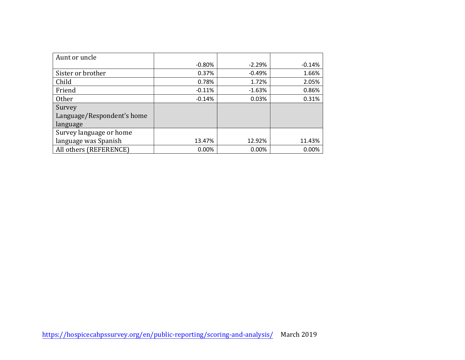| Aunt or uncle              |          |          |        |
|----------------------------|----------|----------|--------|
|                            | $-0.80%$ | $-2.29%$ | -0.14% |
| Sister or brother          | 0.37%    | $-0.49%$ | 1.66%  |
| Child                      | 0.78%    | 1.72%    | 2.05%  |
| Friend                     | $-0.11%$ | $-1.63%$ | 0.86%  |
| <b>Other</b>               | $-0.14%$ | 0.03%    | 0.31%  |
| Survey                     |          |          |        |
| Language/Respondent's home |          |          |        |
| language                   |          |          |        |
| Survey language or home    |          |          |        |
| language was Spanish       | 13.47%   | 12.92%   | 11.43% |
| All others (REFERENCE)     | 0.00%    | 0.00%    | 0.00%  |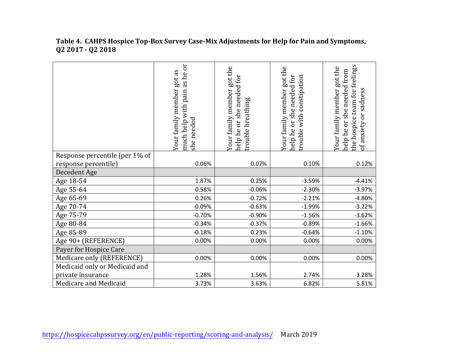#### **Table 4. CAHPS Hospice Top-Box Survey Case-Mix Adjustments for Help for Pain and Symptoms, Q2 2017 - Q2 2018**

|                                | as he or<br>got as<br>Your family member<br>pain<br>much help with<br>she needed | Your family member got the<br>help he or she needed for<br>breathing<br>trouble | Your family member got the<br>help he or she needed for<br>with constipation<br>rouble | the hospice team for feelings<br>Your family member got the<br>needed from<br>of anxiety or sadness<br>she:<br>ðr<br>help he |
|--------------------------------|----------------------------------------------------------------------------------|---------------------------------------------------------------------------------|----------------------------------------------------------------------------------------|------------------------------------------------------------------------------------------------------------------------------|
| Response percentile (per 1% of |                                                                                  |                                                                                 |                                                                                        |                                                                                                                              |
| response percentile)           | 0.06%                                                                            | 0.07%                                                                           | 0.10%                                                                                  | 0.12%                                                                                                                        |
| Decedent Age                   |                                                                                  |                                                                                 |                                                                                        |                                                                                                                              |
| Age 18-54                      | 1.87%                                                                            | 0.25%                                                                           | $-3.59%$                                                                               | $-4.41%$                                                                                                                     |
| Age 55-64                      | 0.58%                                                                            | $-0.06%$                                                                        | $-2.30%$                                                                               | $-3.97%$                                                                                                                     |
| Age 65-69                      | 0.26%                                                                            | $-0.72%$                                                                        | $-2.21%$                                                                               | $-4.80%$                                                                                                                     |
| Age 70-74                      | $-0.09%$                                                                         | $-0.63%$                                                                        | $-1.99%$                                                                               | $-3.22%$                                                                                                                     |
| Age 75-79                      | $-0.70%$                                                                         | $-0.90%$                                                                        | $-1.56%$                                                                               | $-3.62%$                                                                                                                     |
| Age 80-84                      | $-0.34%$                                                                         | $-0.37%$                                                                        | $-0.89%$                                                                               | $-1.66%$                                                                                                                     |
| Age 85-89                      | $-0.18%$                                                                         | 0.23%                                                                           | $-0.64%$                                                                               | $-1.10%$                                                                                                                     |
| Age 90+ (REFERENCE)            | 0.00%                                                                            | 0.00%                                                                           | 0.00%                                                                                  | 0.00%                                                                                                                        |
| Payer for Hospice Care         |                                                                                  |                                                                                 |                                                                                        |                                                                                                                              |
| Medicare only (REFERENCE)      | 0.00%                                                                            | 0.00%                                                                           | 0.00%                                                                                  | 0.00%                                                                                                                        |
| Medicaid only or Medicaid and  |                                                                                  |                                                                                 |                                                                                        |                                                                                                                              |
| private insurance              | 1.28%                                                                            | 1.56%                                                                           | 2.74%                                                                                  | 3.28%                                                                                                                        |
| Medicare and Medicaid          | 3.73%                                                                            | 3.63%                                                                           | 6.82%                                                                                  | 5.81%                                                                                                                        |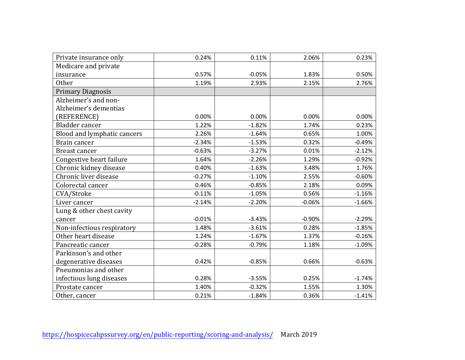| Private insurance only      | 0.24%    | 0.11%    | 2.06%    | 0.23%    |
|-----------------------------|----------|----------|----------|----------|
| Medicare and private        |          |          |          |          |
| insurance                   | 0.57%    | $-0.05%$ | 1.83%    | 0.50%    |
| <b>Other</b>                | 1.19%    | 2.93%    | 2.15%    | 2.76%    |
| <b>Primary Diagnosis</b>    |          |          |          |          |
| Alzheimer's and non-        |          |          |          |          |
| Alzheimer's dementias       |          |          |          |          |
| (REFERENCE)                 | 0.00%    | 0.00%    | 0.00%    | 0.00%    |
| Bladder cancer              | 1.22%    | $-1.82%$ | 1.74%    | 0.23%    |
| Blood and lymphatic cancers | 2.26%    | $-1.64%$ | 0.65%    | 1.00%    |
| Brain cancer                | $-2.34%$ | $-1.53%$ | 0.32%    | $-0.49%$ |
| <b>Breast cancer</b>        | $-0.63%$ | $-3.27%$ | 0.01%    | $-2.12%$ |
| Congestive heart failure    | 1.64%    | $-2.26%$ | 1.29%    | $-0.92%$ |
| Chronic kidney disease      | 0.40%    | $-1.63%$ | 3.48%    | 1.76%    |
| Chronic liver disease       | $-0.27%$ | $-1.10%$ | 2.55%    | $-0.60%$ |
| Colorectal cancer           | 0.46%    | $-0.85%$ | 2.18%    | 0.09%    |
| CVA/Stroke                  | $-0.11%$ | $-1.05%$ | 0.56%    | $-1.16%$ |
| Liver cancer                | $-2.14%$ | $-2.20%$ | $-0.06%$ | $-1.66%$ |
| Lung & other chest cavity   |          |          |          |          |
| cancer                      | $-0.01%$ | $-3.43%$ | $-0.90%$ | $-2.29%$ |
| Non-infectious respiratory  | 1.48%    | $-3.61%$ | 0.28%    | $-1.85%$ |
| Other heart disease         | 1.24%    | $-1.67%$ | 1.37%    | $-0.16%$ |
| Pancreatic cancer           | $-0.28%$ | $-0.79%$ | 1.18%    | $-1.09%$ |
| Parkinson's and other       |          |          |          |          |
| degenerative diseases       | 0.42%    | $-0.85%$ | 0.66%    | $-0.63%$ |
| Pneumonias and other        |          |          |          |          |
| infectious lung diseases    | 0.28%    | $-3.55%$ | 0.25%    | $-1.74%$ |
| Prostate cancer             | 1.40%    | $-0.32%$ | 1.55%    | 1.30%    |
| Other, cancer               | 0.21%    | $-1.84%$ | 0.36%    | $-1.41%$ |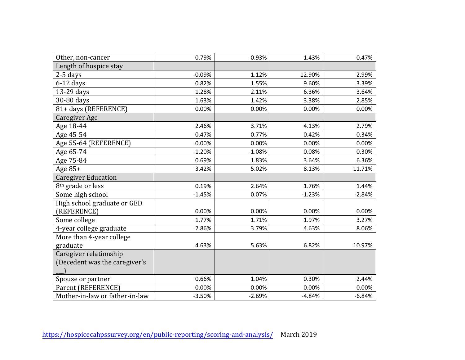| Other, non-cancer              | 0.79%    | $-0.93%$ | 1.43%    | $-0.47%$ |
|--------------------------------|----------|----------|----------|----------|
| Length of hospice stay         |          |          |          |          |
| 2-5 days                       | $-0.09%$ | 1.12%    | 12.90%   | 2.99%    |
| $6-12$ days                    | 0.82%    | 1.55%    | 9.60%    | 3.39%    |
| 13-29 days                     | 1.28%    | 2.11%    | 6.36%    | 3.64%    |
| 30-80 days                     | 1.63%    | 1.42%    | 3.38%    | 2.85%    |
| 81+ days (REFERENCE)           | 0.00%    | 0.00%    | 0.00%    | 0.00%    |
| Caregiver Age                  |          |          |          |          |
| Age 18-44                      | 2.46%    | 3.71%    | 4.13%    | 2.79%    |
| Age 45-54                      | 0.47%    | 0.77%    | 0.42%    | $-0.34%$ |
| Age 55-64 (REFERENCE)          | 0.00%    | 0.00%    | 0.00%    | 0.00%    |
| Age 65-74                      | $-1.20%$ | $-1.08%$ | 0.08%    | 0.30%    |
| Age 75-84                      | 0.69%    | 1.83%    | 3.64%    | 6.36%    |
| Age 85+                        | 3.42%    | 5.02%    | 8.13%    | 11.71%   |
| <b>Caregiver Education</b>     |          |          |          |          |
| 8 <sup>th</sup> grade or less  | 0.19%    | 2.64%    | 1.76%    | 1.44%    |
| Some high school               | $-1.45%$ | 0.07%    | $-1.23%$ | $-2.84%$ |
| High school graduate or GED    |          |          |          |          |
| (REFERENCE)                    | 0.00%    | 0.00%    | 0.00%    | 0.00%    |
| Some college                   | 1.77%    | 1.71%    | 1.97%    | 3.27%    |
| 4-year college graduate        | 2.86%    | 3.79%    | 4.63%    | 8.06%    |
| More than 4-year college       |          |          |          |          |
| graduate                       | 4.63%    | 5.63%    | 6.82%    | 10.97%   |
| Caregiver relationship         |          |          |          |          |
| (Decedent was the caregiver's  |          |          |          |          |
|                                |          |          |          |          |
| Spouse or partner              | 0.66%    | 1.04%    | 0.30%    | 2.44%    |
| Parent (REFERENCE)             | 0.00%    | 0.00%    | 0.00%    | 0.00%    |
| Mother-in-law or father-in-law | $-3.50%$ | $-2.69%$ | $-4.84%$ | $-6.84%$ |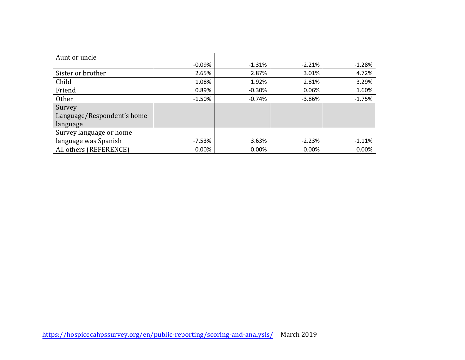| Aunt or uncle              |           |          |          |          |
|----------------------------|-----------|----------|----------|----------|
|                            | $-0.09\%$ | $-1.31%$ | $-2.21%$ | $-1.28%$ |
| Sister or brother          | 2.65%     | 2.87%    | 3.01%    | 4.72%    |
| Child                      | 1.08%     | 1.92%    | 2.81%    | 3.29%    |
| Friend                     | 0.89%     | $-0.30%$ | 0.06%    | 1.60%    |
| Other                      | $-1.50\%$ | $-0.74%$ | $-3.86%$ | $-1.75%$ |
| Survey                     |           |          |          |          |
| Language/Respondent's home |           |          |          |          |
| language                   |           |          |          |          |
| Survey language or home    |           |          |          |          |
| language was Spanish       | $-7.53%$  | 3.63%    | $-2.23%$ | $-1.11%$ |
| All others (REFERENCE)     | 0.00%     | 0.00%    | 0.00%    | 0.00%    |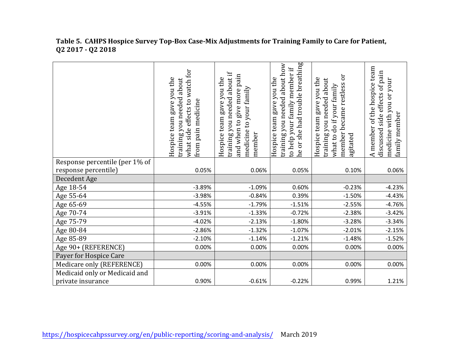#### **Table 5. CAHPS Hospice Survey Top-Box Case-Mix Adjustments for Training Family to Care for Patient, Q2 2017 - Q2 2018**

|                                | watch for<br>Hospice team gave you the<br>training you needed about<br>effects to<br>pain medicine<br>what side<br>from | training you needed about if<br>and when to give more pain<br>Hospice team gave you the<br>medicine to your family<br>member | he or she had trouble breathing<br>training you needed about how<br>to help your family member if<br>gave you the<br>Hospice team | ör<br>Hospice team gave you the<br>training you needed about<br>member became restless<br>what to do if your family<br>agitated | A member of the hospice team<br>side effects of pain<br>medicine with you or your<br>family member<br>discussed |
|--------------------------------|-------------------------------------------------------------------------------------------------------------------------|------------------------------------------------------------------------------------------------------------------------------|-----------------------------------------------------------------------------------------------------------------------------------|---------------------------------------------------------------------------------------------------------------------------------|-----------------------------------------------------------------------------------------------------------------|
| Response percentile (per 1% of |                                                                                                                         |                                                                                                                              |                                                                                                                                   |                                                                                                                                 |                                                                                                                 |
| response percentile)           | 0.05%                                                                                                                   | 0.06%                                                                                                                        | 0.05%                                                                                                                             | 0.10%                                                                                                                           | 0.06%                                                                                                           |
| Decedent Age                   |                                                                                                                         |                                                                                                                              |                                                                                                                                   |                                                                                                                                 |                                                                                                                 |
| Age 18-54                      | $-3.89%$                                                                                                                | $-1.09%$                                                                                                                     | 0.60%                                                                                                                             | $-0.23%$                                                                                                                        | $-4.23%$                                                                                                        |
| Age 55-64                      | $-3.98%$                                                                                                                | $-0.84%$                                                                                                                     | 0.39%                                                                                                                             | $-1.50%$                                                                                                                        | $-4.43%$                                                                                                        |
| Age 65-69                      | $-4.55%$                                                                                                                | $-1.79%$                                                                                                                     | $-1.51%$                                                                                                                          | $-2.55%$                                                                                                                        | $-4.76%$                                                                                                        |
| Age 70-74                      | $-3.91%$                                                                                                                | $-1.33%$                                                                                                                     | $-0.72%$                                                                                                                          | $-2.38%$                                                                                                                        | $-3.42%$                                                                                                        |
| Age 75-79                      | $-4.02%$                                                                                                                | $-2.13%$                                                                                                                     | $-1.80%$                                                                                                                          | $-3.28%$                                                                                                                        | $-3.34%$                                                                                                        |
| Age 80-84                      | $-2.86%$                                                                                                                | $-1.32%$                                                                                                                     | $-1.07%$                                                                                                                          | $-2.01%$                                                                                                                        | $-2.15%$                                                                                                        |
| Age 85-89                      | $-2.10%$                                                                                                                | $-1.14%$                                                                                                                     | $-1.21%$                                                                                                                          | $-1.48%$                                                                                                                        | $-1.52%$                                                                                                        |
| Age 90+ (REFERENCE)            | 0.00%                                                                                                                   | 0.00%                                                                                                                        | 0.00%                                                                                                                             | 0.00%                                                                                                                           | 0.00%                                                                                                           |
| Payer for Hospice Care         |                                                                                                                         |                                                                                                                              |                                                                                                                                   |                                                                                                                                 |                                                                                                                 |
| Medicare only (REFERENCE)      | 0.00%                                                                                                                   | 0.00%                                                                                                                        | 0.00%                                                                                                                             | 0.00%                                                                                                                           | 0.00%                                                                                                           |
| Medicaid only or Medicaid and  |                                                                                                                         |                                                                                                                              |                                                                                                                                   |                                                                                                                                 |                                                                                                                 |
| private insurance              | 0.90%                                                                                                                   | $-0.61%$                                                                                                                     | $-0.22%$                                                                                                                          | 0.99%                                                                                                                           | 1.21%                                                                                                           |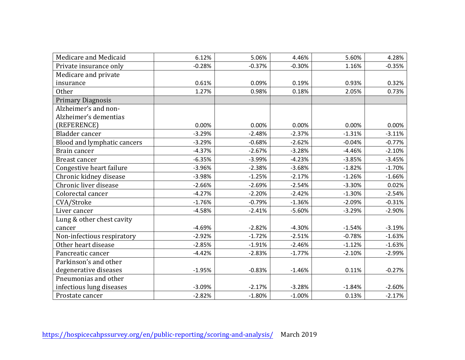| Medicare and Medicaid       | 6.12%    | 5.06%    | 4.46%    | 5.60%    | 4.28%    |
|-----------------------------|----------|----------|----------|----------|----------|
| Private insurance only      | $-0.28%$ | $-0.37%$ | $-0.30%$ | 1.16%    | $-0.35%$ |
| Medicare and private        |          |          |          |          |          |
| insurance                   | 0.61%    | 0.09%    | 0.19%    | 0.93%    | 0.32%    |
| <b>Other</b>                | 1.27%    | 0.98%    | 0.18%    | 2.05%    | 0.73%    |
| <b>Primary Diagnosis</b>    |          |          |          |          |          |
| Alzheimer's and non-        |          |          |          |          |          |
| Alzheimer's dementias       |          |          |          |          |          |
| (REFERENCE)                 | 0.00%    | 0.00%    | 0.00%    | 0.00%    | 0.00%    |
| Bladder cancer              | $-3.29%$ | $-2.48%$ | $-2.37%$ | $-1.31%$ | $-3.11%$ |
| Blood and lymphatic cancers | $-3.29%$ | $-0.68%$ | $-2.62%$ | $-0.04%$ | $-0.77%$ |
| Brain cancer                | $-4.37%$ | $-2.67%$ | $-3.28%$ | $-4.46%$ | $-2.10%$ |
| Breast cancer               | $-6.35%$ | $-3.99%$ | $-4.23%$ | $-3.85%$ | $-3.45%$ |
| Congestive heart failure    | $-3.96%$ | $-2.38%$ | $-3.68%$ | $-1.82%$ | $-1.70%$ |
| Chronic kidney disease      | $-3.98%$ | $-1.25%$ | $-2.17%$ | $-1.26%$ | $-1.66%$ |
| Chronic liver disease       | $-2.66%$ | $-2.69%$ | $-2.54%$ | $-3.30%$ | 0.02%    |
| Colorectal cancer           | $-4.27%$ | $-2.20%$ | $-2.42%$ | $-1.30%$ | $-2.54%$ |
| CVA/Stroke                  | $-1.76%$ | $-0.79%$ | $-1.36%$ | $-2.09%$ | $-0.31%$ |
| Liver cancer                | $-4.58%$ | $-2.41%$ | $-5.60%$ | $-3.29%$ | $-2.90%$ |
| Lung & other chest cavity   |          |          |          |          |          |
| cancer                      | $-4.69%$ | $-2.82%$ | $-4.30%$ | $-1.54%$ | $-3.19%$ |
| Non-infectious respiratory  | $-2.92%$ | $-1.72%$ | $-2.51%$ | $-0.78%$ | $-1.63%$ |
| Other heart disease         | $-2.85%$ | $-1.91%$ | $-2.46%$ | $-1.12%$ | $-1.63%$ |
| Pancreatic cancer           | $-4.42%$ | $-2.83%$ | $-1.77%$ | $-2.10%$ | $-2.99%$ |
| Parkinson's and other       |          |          |          |          |          |
| degenerative diseases       | $-1.95%$ | $-0.83%$ | $-1.46%$ | 0.11%    | $-0.27%$ |
| Pneumonias and other        |          |          |          |          |          |
| infectious lung diseases    | $-3.09%$ | $-2.17%$ | $-3.28%$ | $-1.84%$ | $-2.60%$ |
| Prostate cancer             | $-2.82%$ | $-1.80%$ | $-1.00%$ | 0.13%    | $-2.17%$ |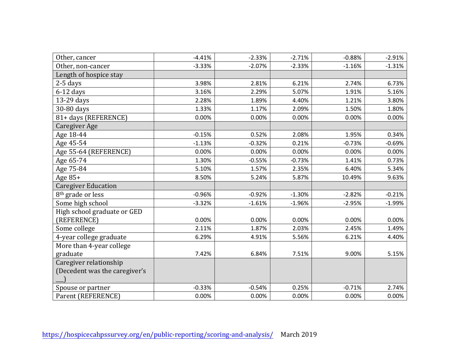| Other, cancer                 | $-4.41%$ | $-2.33%$ | $-2.71%$ | $-0.88%$ | $-2.91%$ |
|-------------------------------|----------|----------|----------|----------|----------|
| Other, non-cancer             | $-3.33%$ | $-2.07%$ | $-2.33%$ | $-1.16%$ | $-1.31%$ |
| Length of hospice stay        |          |          |          |          |          |
| $2-5$ days                    | 3.98%    | 2.81%    | 6.21%    | 2.74%    | 6.73%    |
| $6-12$ days                   | 3.16%    | 2.29%    | 5.07%    | 1.91%    | 5.16%    |
| 13-29 days                    | 2.28%    | 1.89%    | 4.40%    | 1.21%    | 3.80%    |
| 30-80 days                    | 1.33%    | 1.17%    | 2.09%    | 1.50%    | 1.80%    |
| 81+ days (REFERENCE)          | 0.00%    | 0.00%    | 0.00%    | 0.00%    | 0.00%    |
| Caregiver Age                 |          |          |          |          |          |
| Age 18-44                     | $-0.15%$ | 0.52%    | 2.08%    | 1.95%    | 0.34%    |
| Age 45-54                     | $-1.13%$ | $-0.32%$ | 0.21%    | $-0.73%$ | $-0.69%$ |
| Age 55-64 (REFERENCE)         | 0.00%    | 0.00%    | 0.00%    | 0.00%    | 0.00%    |
| Age 65-74                     | 1.30%    | $-0.55%$ | $-0.73%$ | 1.41%    | 0.73%    |
| Age 75-84                     | 5.10%    | 1.57%    | 2.35%    | 6.40%    | 5.34%    |
| Age 85+                       | 8.50%    | 5.24%    | 5.87%    | 10.49%   | 9.63%    |
| <b>Caregiver Education</b>    |          |          |          |          |          |
| 8 <sup>th</sup> grade or less | $-0.96%$ | $-0.92%$ | $-1.30%$ | $-2.82%$ | $-0.21%$ |
| Some high school              | $-3.32%$ | $-1.61%$ | $-1.96%$ | $-2.95%$ | $-1.99%$ |
| High school graduate or GED   |          |          |          |          |          |
| (REFERENCE)                   | 0.00%    | 0.00%    | 0.00%    | 0.00%    | 0.00%    |
| Some college                  | 2.11%    | 1.87%    | 2.03%    | 2.45%    | 1.49%    |
| 4-year college graduate       | 6.29%    | 4.91%    | 5.56%    | 6.21%    | 4.40%    |
| More than 4-year college      |          |          |          |          |          |
| graduate                      | 7.42%    | 6.84%    | 7.51%    | 9.00%    | 5.15%    |
| Caregiver relationship        |          |          |          |          |          |
| (Decedent was the caregiver's |          |          |          |          |          |
|                               |          |          |          |          |          |
| Spouse or partner             | $-0.33%$ | $-0.54%$ | 0.25%    | $-0.71%$ | 2.74%    |
| Parent (REFERENCE)            | 0.00%    | 0.00%    | 0.00%    | 0.00%    | 0.00%    |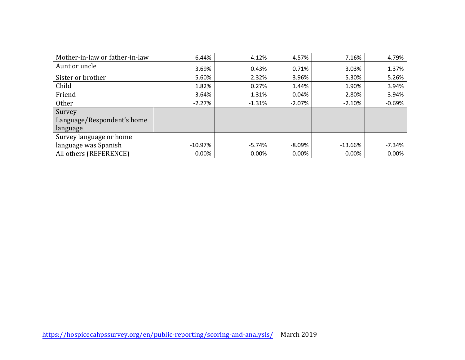| Mother-in-law or father-in-law | -6.44%     | $-4.12%$ | $-4.57%$  | $-7.16%$  | $-4.79%$ |
|--------------------------------|------------|----------|-----------|-----------|----------|
| Aunt or uncle                  | 3.69%      | 0.43%    | 0.71%     | 3.03%     | 1.37%    |
| Sister or brother              | 5.60%      | 2.32%    | 3.96%     | 5.30%     | 5.26%    |
| Child                          | 1.82%      | 0.27%    | 1.44%     | 1.90%     | 3.94%    |
| Friend                         | 3.64%      | 1.31%    | 0.04%     | 2.80%     | 3.94%    |
| Other                          | $-2.27%$   | $-1.31%$ | $-2.07\%$ | $-2.10%$  | $-0.69%$ |
| Survey                         |            |          |           |           |          |
| Language/Respondent's home     |            |          |           |           |          |
| language                       |            |          |           |           |          |
| Survey language or home        |            |          |           |           |          |
| language was Spanish           | $-10.97\%$ | $-5.74%$ | $-8.09\%$ | $-13.66%$ | $-7.34%$ |
| All others (REFERENCE)         | 0.00%      | 0.00%    | 0.00%     | 0.00%     | 0.00%    |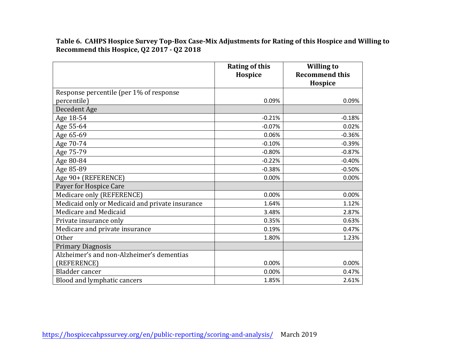**Table 6. CAHPS Hospice Survey Top-Box Case-Mix Adjustments for Rating of this Hospice and Willing to Recommend this Hospice, Q2 2017 - Q2 2018**

|                                                 | <b>Rating of this</b><br>Hospice | <b>Willing to</b><br><b>Recommend this</b><br>Hospice |
|-------------------------------------------------|----------------------------------|-------------------------------------------------------|
| Response percentile (per 1% of response         |                                  |                                                       |
| percentile)                                     | 0.09%                            | 0.09%                                                 |
| Decedent Age                                    |                                  |                                                       |
| Age 18-54                                       | $-0.21%$                         | $-0.18%$                                              |
| Age 55-64                                       | $-0.07%$                         | 0.02%                                                 |
| Age 65-69                                       | 0.06%                            | $-0.36%$                                              |
| Age 70-74                                       | $-0.10%$                         | $-0.39%$                                              |
| Age 75-79                                       | $-0.80%$                         | $-0.87%$                                              |
| Age 80-84                                       | $-0.22%$                         | $-0.40%$                                              |
| Age 85-89                                       | $-0.38%$                         | $-0.50%$                                              |
| Age 90+ (REFERENCE)                             | 0.00%                            | 0.00%                                                 |
| Payer for Hospice Care                          |                                  |                                                       |
| Medicare only (REFERENCE)                       | 0.00%                            | 0.00%                                                 |
| Medicaid only or Medicaid and private insurance | 1.64%                            | 1.12%                                                 |
| Medicare and Medicaid                           | 3.48%                            | 2.87%                                                 |
| Private insurance only                          | 0.35%                            | 0.63%                                                 |
| Medicare and private insurance                  | 0.19%                            | 0.47%                                                 |
| <b>Other</b>                                    | 1.80%                            | 1.23%                                                 |
| <b>Primary Diagnosis</b>                        |                                  |                                                       |
| Alzheimer's and non-Alzheimer's dementias       |                                  |                                                       |
| (REFERENCE)                                     | 0.00%                            | 0.00%                                                 |
| Bladder cancer                                  | 0.00%                            | 0.47%                                                 |
| Blood and lymphatic cancers                     | 1.85%                            | 2.61%                                                 |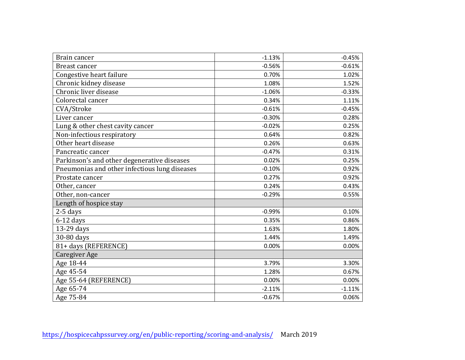| Brain cancer                                  | $-1.13%$ | $-0.45%$ |
|-----------------------------------------------|----------|----------|
| <b>Breast cancer</b>                          | $-0.56%$ | $-0.61%$ |
| Congestive heart failure                      | 0.70%    | 1.02%    |
| Chronic kidney disease                        | 1.08%    | 1.52%    |
| Chronic liver disease                         | $-1.06%$ | $-0.33%$ |
| Colorectal cancer                             | 0.34%    | 1.11%    |
| CVA/Stroke                                    | $-0.61%$ | $-0.45%$ |
| Liver cancer                                  | $-0.30%$ | 0.28%    |
| Lung & other chest cavity cancer              | $-0.02%$ | 0.25%    |
| Non-infectious respiratory                    | 0.64%    | 0.82%    |
| Other heart disease                           | 0.26%    | 0.63%    |
| Pancreatic cancer                             | $-0.47%$ | 0.31%    |
| Parkinson's and other degenerative diseases   | 0.02%    | 0.25%    |
| Pneumonias and other infectious lung diseases | $-0.10%$ | 0.92%    |
| Prostate cancer                               | 0.27%    | 0.92%    |
| Other, cancer                                 | 0.24%    | 0.43%    |
| Other, non-cancer                             | $-0.29%$ | 0.55%    |
| Length of hospice stay                        |          |          |
| 2-5 days                                      | $-0.99%$ | 0.10%    |
| $6-12$ days                                   | 0.35%    | 0.86%    |
| 13-29 days                                    | 1.63%    | 1.80%    |
| 30-80 days                                    | 1.44%    | 1.49%    |
| 81+ days (REFERENCE)                          | 0.00%    | 0.00%    |
| Caregiver Age                                 |          |          |
| Age 18-44                                     | 3.79%    | 3.30%    |
| Age 45-54                                     | 1.28%    | 0.67%    |
| Age 55-64 (REFERENCE)                         | 0.00%    | 0.00%    |
| Age 65-74                                     | $-2.11%$ | $-1.11%$ |
| Age 75-84                                     | $-0.67%$ | 0.06%    |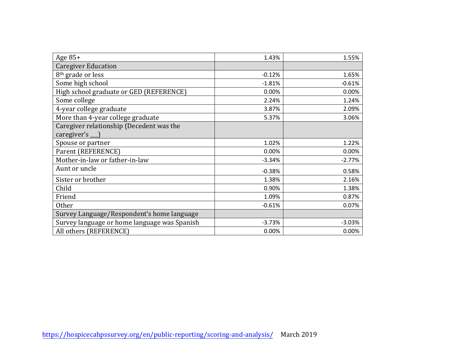| Age $85+$                                    | 1.43%    | 1.55%    |
|----------------------------------------------|----------|----------|
| <b>Caregiver Education</b>                   |          |          |
| 8 <sup>th</sup> grade or less                | $-0.12%$ | 1.65%    |
| Some high school                             | $-1.81%$ | $-0.61%$ |
| High school graduate or GED (REFERENCE)      | 0.00%    | 0.00%    |
| Some college                                 | 2.24%    | 1.24%    |
| 4-year college graduate                      | 3.87%    | 2.09%    |
| More than 4-year college graduate            | 5.37%    | 3.06%    |
| Caregiver relationship (Decedent was the     |          |          |
| caregiver's $\Box$                           |          |          |
| Spouse or partner                            | 1.02%    | 1.22%    |
| Parent (REFERENCE)                           | 0.00%    | 0.00%    |
| Mother-in-law or father-in-law               | $-3.34%$ | $-2.77%$ |
| Aunt or uncle                                | $-0.38%$ | 0.58%    |
| Sister or brother                            | 1.38%    | 2.16%    |
| Child                                        | 0.90%    | 1.38%    |
| Friend                                       | 1.09%    | 0.87%    |
| <b>Other</b>                                 | $-0.61%$ | 0.07%    |
| Survey Language/Respondent's home language   |          |          |
| Survey language or home language was Spanish | $-3.73%$ | $-3.03%$ |
| All others (REFERENCE)                       | 0.00%    | 0.00%    |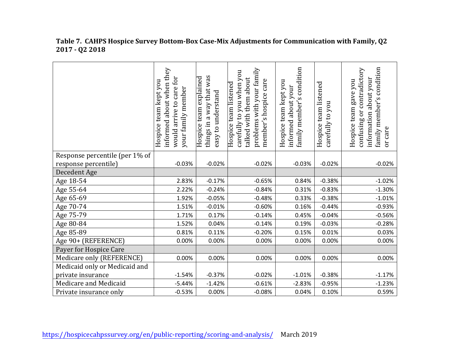|                                | informed about when they<br>for<br>team kept you<br>care<br>your family member<br>would arrive to<br>Hospice | a way that was<br>Hospice team explained<br>easy to understand<br>things in | problems with your family<br>carefully to you when you<br>talked with them about<br>member's hospice care<br>Hospice team listened | condition<br>Hospice team kept you<br>informed about your<br>$\sim$<br>family member' | Hospice team listened<br>carefully to you | family member's condition<br>confusing or contradictory<br>information about your<br>Hospice team gave you<br>care<br>ðr |
|--------------------------------|--------------------------------------------------------------------------------------------------------------|-----------------------------------------------------------------------------|------------------------------------------------------------------------------------------------------------------------------------|---------------------------------------------------------------------------------------|-------------------------------------------|--------------------------------------------------------------------------------------------------------------------------|
| Response percentile (per 1% of |                                                                                                              |                                                                             |                                                                                                                                    |                                                                                       |                                           |                                                                                                                          |
| response percentile)           | $-0.03%$                                                                                                     | $-0.02%$                                                                    | $-0.02%$                                                                                                                           | $-0.03%$                                                                              | $-0.02%$                                  | $-0.02%$                                                                                                                 |
| Decedent Age                   |                                                                                                              |                                                                             |                                                                                                                                    |                                                                                       |                                           |                                                                                                                          |
| Age 18-54                      | 2.83%                                                                                                        | $-0.17%$                                                                    | $-0.65%$                                                                                                                           | 0.84%                                                                                 | $-0.38%$                                  | $-1.02%$                                                                                                                 |
| Age 55-64                      | 2.22%                                                                                                        | $-0.24%$                                                                    | $-0.84%$                                                                                                                           | 0.31%                                                                                 | $-0.83%$                                  | $-1.30%$                                                                                                                 |
| Age 65-69                      | 1.92%                                                                                                        | $-0.05%$                                                                    | $-0.48%$                                                                                                                           | 0.33%                                                                                 | $-0.38%$                                  | $-1.01%$                                                                                                                 |
| Age 70-74                      | 1.51%                                                                                                        | $-0.01%$                                                                    | $-0.60%$                                                                                                                           | 0.16%                                                                                 | $-0.44%$                                  | $-0.93%$                                                                                                                 |
| Age 75-79                      | 1.71%                                                                                                        | 0.17%                                                                       | $-0.14%$                                                                                                                           | 0.45%                                                                                 | $-0.04%$                                  | $-0.56%$                                                                                                                 |
| Age 80-84                      | 1.52%                                                                                                        | 0.04%                                                                       | $-0.14%$                                                                                                                           | 0.19%                                                                                 | $-0.03%$                                  | $-0.28%$                                                                                                                 |
| Age 85-89                      | 0.81%                                                                                                        | 0.11%                                                                       | $-0.20%$                                                                                                                           | 0.15%                                                                                 | 0.01%                                     | 0.03%                                                                                                                    |
| Age 90+ (REFERENCE)            | 0.00%                                                                                                        | 0.00%                                                                       | 0.00%                                                                                                                              | 0.00%                                                                                 | 0.00%                                     | 0.00%                                                                                                                    |
| Payer for Hospice Care         |                                                                                                              |                                                                             |                                                                                                                                    |                                                                                       |                                           |                                                                                                                          |
| Medicare only (REFERENCE)      | 0.00%                                                                                                        | 0.00%                                                                       | 0.00%                                                                                                                              | 0.00%                                                                                 | 0.00%                                     | 0.00%                                                                                                                    |
| Medicaid only or Medicaid and  |                                                                                                              |                                                                             |                                                                                                                                    |                                                                                       |                                           |                                                                                                                          |
| private insurance              | $-1.54%$                                                                                                     | $-0.37%$                                                                    | $-0.02%$                                                                                                                           | $-1.01%$                                                                              | $-0.38%$                                  | $-1.17%$                                                                                                                 |
| Medicare and Medicaid          | $-5.44%$                                                                                                     | $-1.42%$                                                                    | $-0.61%$                                                                                                                           | $-2.83%$                                                                              | $-0.95%$                                  | $-1.23%$                                                                                                                 |
| Private insurance only         | $-0.53%$                                                                                                     | 0.00%                                                                       | $-0.08%$                                                                                                                           | 0.04%                                                                                 | 0.10%                                     | 0.59%                                                                                                                    |

#### **Table 7. CAHPS Hospice Survey Bottom-Box Case-Mix Adjustments for Communication with Family, Q2 2017 - Q2 2018**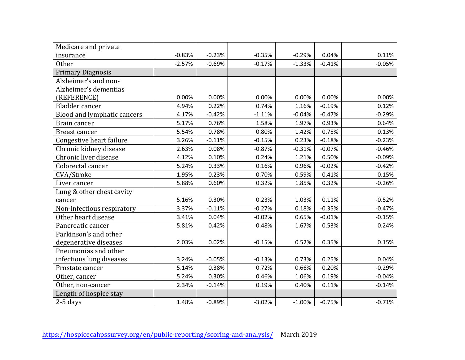| Medicare and private        |          |          |          |           |          |          |
|-----------------------------|----------|----------|----------|-----------|----------|----------|
| insurance                   | $-0.83%$ | $-0.23%$ | $-0.35%$ | $-0.29%$  | 0.04%    | 0.11%    |
| <b>Other</b>                | $-2.57%$ | $-0.69%$ | $-0.17%$ | $-1.33%$  | $-0.41%$ | $-0.05%$ |
| <b>Primary Diagnosis</b>    |          |          |          |           |          |          |
| Alzheimer's and non-        |          |          |          |           |          |          |
| Alzheimer's dementias       |          |          |          |           |          |          |
| (REFERENCE)                 | 0.00%    | 0.00%    | 0.00%    | 0.00%     | 0.00%    | 0.00%    |
| Bladder cancer              | 4.94%    | 0.22%    | 0.74%    | 1.16%     | $-0.19%$ | 0.12%    |
| Blood and lymphatic cancers | 4.17%    | $-0.42%$ | $-1.11%$ | $-0.04%$  | $-0.47%$ | $-0.29%$ |
| Brain cancer                | 5.17%    | 0.76%    | 1.58%    | 1.97%     | 0.93%    | 0.64%    |
| Breast cancer               | 5.54%    | 0.78%    | 0.80%    | 1.42%     | 0.75%    | 0.13%    |
| Congestive heart failure    | 3.26%    | $-0.11%$ | $-0.15%$ | 0.23%     | $-0.18%$ | $-0.23%$ |
| Chronic kidney disease      | 2.63%    | 0.08%    | $-0.87%$ | $-0.31%$  | $-0.07%$ | $-0.46%$ |
| Chronic liver disease       | 4.12%    | 0.10%    | 0.24%    | 1.21%     | 0.50%    | $-0.09%$ |
| Colorectal cancer           | 5.24%    | 0.33%    | 0.16%    | 0.96%     | $-0.02%$ | $-0.42%$ |
| CVA/Stroke                  | 1.95%    | 0.23%    | 0.70%    | 0.59%     | 0.41%    | $-0.15%$ |
| Liver cancer                | 5.88%    | 0.60%    | 0.32%    | 1.85%     | 0.32%    | $-0.26%$ |
| Lung & other chest cavity   |          |          |          |           |          |          |
| cancer                      | 5.16%    | 0.30%    | 0.23%    | 1.03%     | 0.11%    | $-0.52%$ |
| Non-infectious respiratory  | 3.37%    | $-0.11%$ | $-0.27%$ | 0.18%     | $-0.35%$ | $-0.47%$ |
| Other heart disease         | 3.41%    | 0.04%    | $-0.02%$ | 0.65%     | $-0.01%$ | $-0.15%$ |
| Pancreatic cancer           | 5.81%    | 0.42%    | 0.48%    | 1.67%     | 0.53%    | 0.24%    |
| Parkinson's and other       |          |          |          |           |          |          |
| degenerative diseases       | 2.03%    | 0.02%    | $-0.15%$ | 0.52%     | 0.35%    | 0.15%    |
| Pneumonias and other        |          |          |          |           |          |          |
| infectious lung diseases    | 3.24%    | $-0.05%$ | $-0.13%$ | 0.73%     | 0.25%    | 0.04%    |
| Prostate cancer             | 5.14%    | 0.38%    | 0.72%    | 0.66%     | 0.20%    | $-0.29%$ |
| Other, cancer               | 5.24%    | 0.30%    | 0.46%    | 1.06%     | 0.19%    | $-0.04%$ |
| Other, non-cancer           | 2.34%    | $-0.14%$ | 0.19%    | 0.40%     | 0.11%    | $-0.14%$ |
| Length of hospice stay      |          |          |          |           |          |          |
| $2-5$ days                  | 1.48%    | $-0.89%$ | $-3.02%$ | $-1.00\%$ | $-0.75%$ | $-0.71%$ |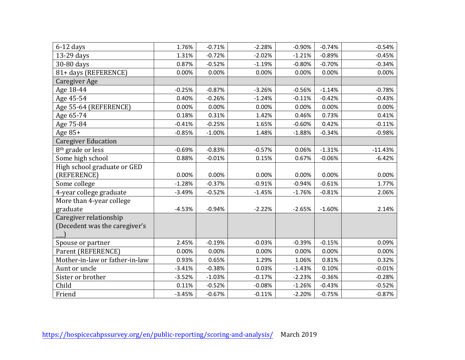| $6-12$ days                    | 1.76%    | $-0.71%$ | $-2.28%$ | $-0.90%$ | $-0.74%$ | $-0.54%$  |
|--------------------------------|----------|----------|----------|----------|----------|-----------|
| 13-29 days                     | 1.31%    | $-0.72%$ | $-2.02%$ | $-1.21%$ | $-0.89%$ | $-0.45%$  |
| 30-80 days                     | 0.87%    | $-0.52%$ | $-1.19%$ | $-0.80%$ | $-0.70%$ | $-0.34%$  |
| 81+ days (REFERENCE)           | 0.00%    | 0.00%    | 0.00%    | 0.00%    | 0.00%    | 0.00%     |
| Caregiver Age                  |          |          |          |          |          |           |
| Age 18-44                      | $-0.25%$ | $-0.87%$ | $-3.26%$ | $-0.56%$ | $-1.14%$ | $-0.78%$  |
| Age 45-54                      | 0.40%    | $-0.26%$ | $-1.24%$ | $-0.11%$ | $-0.42%$ | $-0.43%$  |
| Age 55-64 (REFERENCE)          | 0.00%    | 0.00%    | 0.00%    | 0.00%    | 0.00%    | 0.00%     |
| Age 65-74                      | 0.18%    | 0.31%    | 1.42%    | 0.46%    | 0.73%    | 0.41%     |
| Age 75-84                      | $-0.41%$ | $-0.25%$ | 1.65%    | $-0.60%$ | 0.42%    | $-0.11%$  |
| Age $85+$                      | $-0.85%$ | $-1.00%$ | 1.48%    | $-1.88%$ | $-0.34%$ | $-0.98%$  |
| <b>Caregiver Education</b>     |          |          |          |          |          |           |
| 8 <sup>th</sup> grade or less  | $-0.69%$ | $-0.83%$ | $-0.57%$ | 0.06%    | $-1.31%$ | $-11.43%$ |
| Some high school               | 0.88%    | $-0.01%$ | 0.15%    | 0.67%    | $-0.06%$ | $-6.42%$  |
| High school graduate or GED    |          |          |          |          |          |           |
| (REFERENCE)                    | 0.00%    | 0.00%    | 0.00%    | 0.00%    | 0.00%    | 0.00%     |
| Some college                   | $-1.28%$ | $-0.37%$ | $-0.91%$ | $-0.94%$ | $-0.61%$ | 1.77%     |
| 4-year college graduate        | $-3.49%$ | $-0.52%$ | $-1.45%$ | $-1.76%$ | $-0.81%$ | 2.06%     |
| More than 4-year college       |          |          |          |          |          |           |
| graduate                       | $-4.53%$ | $-0.94%$ | $-2.22%$ | $-2.65%$ | $-1.60%$ | 2.14%     |
| Caregiver relationship         |          |          |          |          |          |           |
| (Decedent was the caregiver's  |          |          |          |          |          |           |
|                                |          |          |          |          |          |           |
| Spouse or partner              | 2.45%    | $-0.19%$ | $-0.03%$ | $-0.39%$ | $-0.15%$ | 0.09%     |
| Parent (REFERENCE)             | 0.00%    | 0.00%    | 0.00%    | 0.00%    | 0.00%    | 0.00%     |
| Mother-in-law or father-in-law | 0.93%    | 0.65%    | 1.29%    | 1.06%    | 0.81%    | 0.32%     |
| Aunt or uncle                  | $-3.41%$ | $-0.38%$ | 0.03%    | $-1.43%$ | 0.10%    | $-0.01%$  |
| Sister or brother              | $-3.52%$ | $-1.03%$ | $-0.17%$ | $-2.23%$ | $-0.36%$ | $-0.28%$  |
| Child                          | 0.11%    | $-0.52%$ | $-0.08%$ | $-1.26%$ | $-0.43%$ | $-0.52%$  |
| Friend                         | $-3.45%$ | $-0.67%$ | $-0.11%$ | $-2.20%$ | $-0.75%$ | $-0.87%$  |
|                                |          |          |          |          |          |           |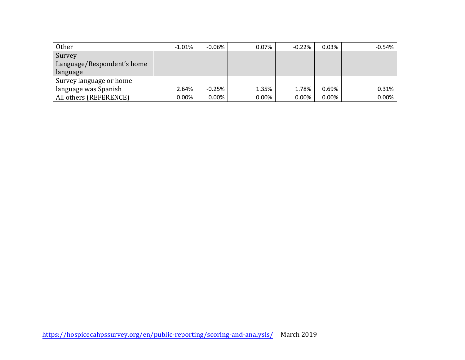| Other                      | $-1.01\%$ | $-0.06%$ | $0.07\%$ | $-0.22\%$ | 0.03%    | $-0.54%$ |
|----------------------------|-----------|----------|----------|-----------|----------|----------|
| Survey                     |           |          |          |           |          |          |
| Language/Respondent's home |           |          |          |           |          |          |
| language                   |           |          |          |           |          |          |
| Survey language or home    |           |          |          |           |          |          |
| language was Spanish       | 2.64%     | $-0.25%$ | 1.35%    | 1.78%     | 0.69%    | 0.31%    |
| All others (REFERENCE)     | 0.00%     | $0.00\%$ | $0.00\%$ | 0.00%     | $0.00\%$ | $0.00\%$ |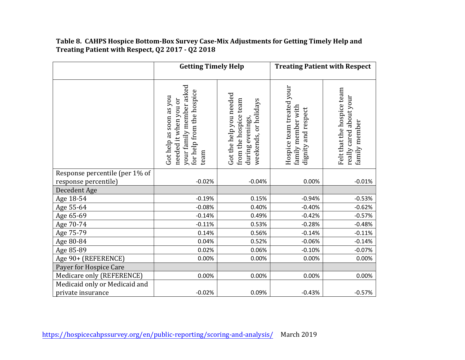#### **Table 8. CAHPS Hospice Bottom-Box Survey Case-Mix Adjustments for Getting Timely Help and Treating Patient with Respect, Q2 2017 - Q2 2018**

|                                | <b>Getting Timely Help</b>                                                                                        |                                                                                               |                                                                        | <b>Treating Patient with Respect</b>                                   |
|--------------------------------|-------------------------------------------------------------------------------------------------------------------|-----------------------------------------------------------------------------------------------|------------------------------------------------------------------------|------------------------------------------------------------------------|
|                                | your family member asked<br>for help from the hospice<br>Got help as soon as you<br>needed it when you or<br>team | Got the help you needed<br>from the hospice team<br>weekends, or holidays<br>during evenings, | Hospice team treated your<br>family member with<br>dignity and respect | Felt that the hospice team<br>really cared about your<br>family member |
| Response percentile (per 1% of |                                                                                                                   |                                                                                               |                                                                        |                                                                        |
| response percentile)           | $-0.02%$                                                                                                          | $-0.04%$                                                                                      | 0.00%                                                                  | $-0.01%$                                                               |
| Decedent Age                   |                                                                                                                   |                                                                                               |                                                                        |                                                                        |
| Age 18-54                      | $-0.19%$                                                                                                          | 0.15%                                                                                         | $-0.94%$                                                               | $-0.53%$                                                               |
| Age 55-64                      | $-0.08%$                                                                                                          | 0.40%                                                                                         | $-0.40%$                                                               | $-0.62%$                                                               |
| Age 65-69                      | $-0.14%$                                                                                                          | 0.49%                                                                                         | $-0.42%$                                                               | $-0.57%$                                                               |
| Age 70-74                      | $-0.11%$                                                                                                          | 0.53%                                                                                         | $-0.28%$                                                               | $-0.48%$                                                               |
| Age 75-79                      | 0.14%                                                                                                             | 0.56%                                                                                         | $-0.14%$                                                               | $-0.11%$                                                               |
| Age 80-84                      | 0.04%                                                                                                             | 0.52%                                                                                         | $-0.06%$                                                               | $-0.14%$                                                               |
| Age 85-89                      | 0.02%                                                                                                             | 0.06%                                                                                         | $-0.10%$                                                               | $-0.07%$                                                               |
| Age 90+ (REFERENCE)            | 0.00%                                                                                                             | 0.00%                                                                                         | 0.00%                                                                  | 0.00%                                                                  |
| Payer for Hospice Care         |                                                                                                                   |                                                                                               |                                                                        |                                                                        |
| Medicare only (REFERENCE)      | 0.00%                                                                                                             | 0.00%                                                                                         | 0.00%                                                                  | 0.00%                                                                  |
| Medicaid only or Medicaid and  |                                                                                                                   |                                                                                               |                                                                        |                                                                        |
| private insurance              | $-0.02%$                                                                                                          | 0.09%                                                                                         | $-0.43%$                                                               | $-0.57%$                                                               |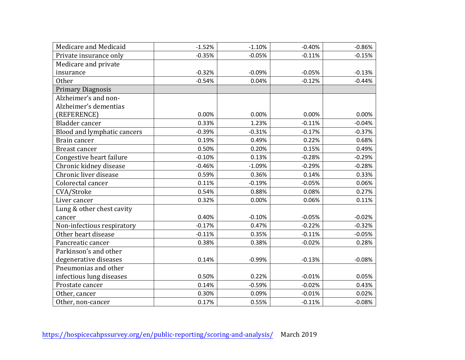| Medicare and Medicaid       | $-1.52%$ | $-1.10%$ | $-0.40%$ | $-0.86%$ |
|-----------------------------|----------|----------|----------|----------|
| Private insurance only      | $-0.35%$ | $-0.05%$ | $-0.11%$ | $-0.15%$ |
| Medicare and private        |          |          |          |          |
| insurance                   | $-0.32%$ | $-0.09%$ | $-0.05%$ | $-0.13%$ |
| <b>Other</b>                | $-0.54%$ | 0.04%    | $-0.12%$ | $-0.44%$ |
| <b>Primary Diagnosis</b>    |          |          |          |          |
| Alzheimer's and non-        |          |          |          |          |
| Alzheimer's dementias       |          |          |          |          |
| (REFERENCE)                 | 0.00%    | 0.00%    | 0.00%    | 0.00%    |
| <b>Bladder</b> cancer       | 0.33%    | 1.23%    | $-0.11%$ | $-0.04%$ |
| Blood and lymphatic cancers | $-0.39%$ | $-0.31%$ | $-0.17%$ | $-0.37%$ |
| Brain cancer                | 0.19%    | 0.49%    | 0.22%    | 0.68%    |
| Breast cancer               | 0.50%    | 0.20%    | 0.15%    | 0.49%    |
| Congestive heart failure    | $-0.10%$ | 0.13%    | $-0.28%$ | $-0.29%$ |
| Chronic kidney disease      | $-0.46%$ | $-1.09%$ | $-0.29%$ | $-0.28%$ |
| Chronic liver disease       | 0.59%    | 0.36%    | 0.14%    | 0.33%    |
| Colorectal cancer           | 0.11%    | $-0.19%$ | $-0.05%$ | 0.06%    |
| CVA/Stroke                  | 0.54%    | 0.88%    | 0.08%    | 0.27%    |
| Liver cancer                | 0.32%    | 0.00%    | 0.06%    | 0.11%    |
| Lung & other chest cavity   |          |          |          |          |
| cancer                      | 0.40%    | $-0.10%$ | $-0.05%$ | $-0.02%$ |
| Non-infectious respiratory  | $-0.17%$ | 0.47%    | $-0.22%$ | $-0.32%$ |
| Other heart disease         | $-0.11%$ | 0.35%    | $-0.11%$ | $-0.05%$ |
| Pancreatic cancer           | 0.38%    | 0.38%    | $-0.02%$ | 0.28%    |
| Parkinson's and other       |          |          |          |          |
| degenerative diseases       | 0.14%    | $-0.99%$ | $-0.13%$ | $-0.08%$ |
| Pneumonias and other        |          |          |          |          |
| infectious lung diseases    | 0.50%    | 0.22%    | $-0.01%$ | 0.05%    |
| Prostate cancer             | 0.14%    | $-0.59%$ | $-0.02%$ | 0.43%    |
| Other, cancer               | 0.30%    | 0.09%    | $-0.01%$ | 0.02%    |
| Other, non-cancer           | 0.17%    | 0.55%    | $-0.11%$ | $-0.08%$ |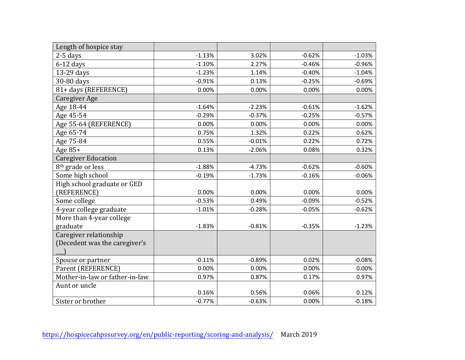| Length of hospice stay         |          |          |          |          |
|--------------------------------|----------|----------|----------|----------|
| $2-5$ days                     | $-1.13%$ | 3.02%    | $-0.62%$ | $-1.03%$ |
| $6-12$ days                    | $-1.10%$ | 2.27%    | $-0.46%$ | $-0.96%$ |
| 13-29 days                     | $-1.23%$ | 1.14%    | $-0.40%$ | $-1.04%$ |
| 30-80 days                     | $-0.91%$ | 0.13%    | $-0.25%$ | $-0.69%$ |
| 81+ days (REFERENCE)           | 0.00%    | 0.00%    | 0.00%    | 0.00%    |
| Caregiver Age                  |          |          |          |          |
| Age 18-44                      | $-1.64%$ | $-2.23%$ | $-0.61%$ | $-1.62%$ |
| Age 45-54                      | $-0.29%$ | $-0.37%$ | $-0.25%$ | $-0.57%$ |
| Age 55-64 (REFERENCE)          | 0.00%    | 0.00%    | 0.00%    | 0.00%    |
| Age 65-74                      | 0.75%    | 1.32%    | 0.22%    | 0.62%    |
| Age 75-84                      | 0.55%    | $-0.01%$ | 0.22%    | 0.72%    |
| Age 85+                        | 0.13%    | $-2.06%$ | 0.08%    | 0.32%    |
| <b>Caregiver Education</b>     |          |          |          |          |
| 8 <sup>th</sup> grade or less  | $-1.88%$ | $-4.73%$ | $-0.62%$ | $-0.60%$ |
| Some high school               | $-0.19%$ | $-1.73%$ | $-0.16%$ | $-0.06%$ |
| High school graduate or GED    |          |          |          |          |
| (REFERENCE)                    | 0.00%    | 0.00%    | 0.00%    | 0.00%    |
| Some college                   | $-0.53%$ | 0.49%    | $-0.09%$ | $-0.52%$ |
| 4-year college graduate        | $-1.01%$ | $-0.28%$ | $-0.05%$ | $-0.62%$ |
| More than 4-year college       |          |          |          |          |
| graduate                       | $-1.83%$ | $-0.81%$ | $-0.35%$ | $-1.23%$ |
| Caregiver relationship         |          |          |          |          |
| (Decedent was the caregiver's  |          |          |          |          |
|                                |          |          |          |          |
| Spouse or partner              | $-0.11%$ | $-0.89%$ | 0.02%    | $-0.08%$ |
| Parent (REFERENCE)             | 0.00%    | 0.00%    | 0.00%    | 0.00%    |
| Mother-in-law or father-in-law | 0.97%    | 0.87%    | 0.17%    | 0.97%    |
| Aunt or uncle                  |          |          |          |          |
|                                | 0.16%    | 0.56%    | 0.06%    | 0.12%    |
| Sister or brother              | $-0.77%$ | $-0.63%$ | 0.00%    | $-0.18%$ |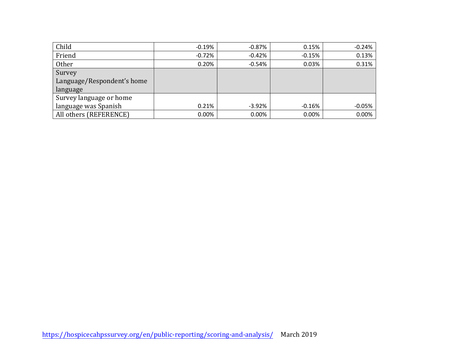| Child                      | $-0.19%$ | $-0.87%$ | 0.15%    | $-0.24%$ |
|----------------------------|----------|----------|----------|----------|
| Friend                     | $-0.72%$ | $-0.42%$ | $-0.15%$ | 0.13%    |
| <b>Other</b>               | 0.20%    | $-0.54%$ | 0.03%    | 0.31%    |
| Survey                     |          |          |          |          |
| Language/Respondent's home |          |          |          |          |
| language                   |          |          |          |          |
| Survey language or home    |          |          |          |          |
| language was Spanish       | 0.21%    | $-3.92%$ | $-0.16%$ | $-0.05%$ |
| All others (REFERENCE)     | 0.00%    | 0.00%    | 0.00%    | 0.00%    |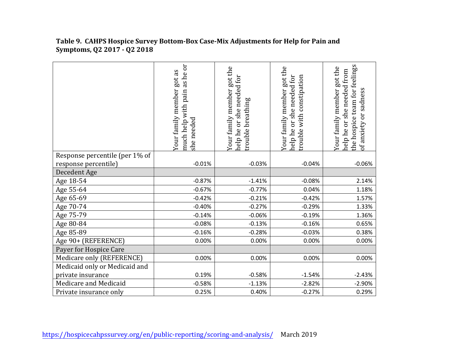|                                | as he or<br>Your family member got as<br>pain<br>much help with<br>she needed | Your family member got the<br>she needed for<br>trouble breathing<br>help he or | Your family member got the<br>help he or she needed for<br>rouble with constipation | the hospice team for feelings<br>Your family member got the<br>help he or she needed from<br>of anxiety or sadness |
|--------------------------------|-------------------------------------------------------------------------------|---------------------------------------------------------------------------------|-------------------------------------------------------------------------------------|--------------------------------------------------------------------------------------------------------------------|
| Response percentile (per 1% of |                                                                               |                                                                                 |                                                                                     |                                                                                                                    |
| response percentile)           | $-0.01%$                                                                      | $-0.03%$                                                                        | $-0.04%$                                                                            | $-0.06%$                                                                                                           |
| Decedent Age                   |                                                                               |                                                                                 |                                                                                     |                                                                                                                    |
| Age 18-54                      | $-0.87%$                                                                      | $-1.41%$                                                                        | $-0.08%$                                                                            | 2.14%                                                                                                              |
| Age 55-64                      | $-0.67%$                                                                      | $-0.77%$                                                                        | 0.04%                                                                               | 1.18%                                                                                                              |
| Age 65-69                      | $-0.42%$                                                                      | $-0.21%$                                                                        | $-0.42%$                                                                            | 1.57%                                                                                                              |
| Age 70-74                      | $-0.40%$                                                                      | $-0.27%$                                                                        | $-0.29%$                                                                            | 1.33%                                                                                                              |
| Age 75-79                      | $-0.14%$                                                                      | $-0.06%$                                                                        | $-0.19%$                                                                            | 1.36%                                                                                                              |
| Age 80-84                      | $-0.08%$                                                                      | $-0.13%$                                                                        | $-0.16%$                                                                            | 0.65%                                                                                                              |
| Age 85-89                      | $-0.16%$                                                                      | $-0.28%$                                                                        | $-0.03%$                                                                            | 0.38%                                                                                                              |
| Age 90+ (REFERENCE)            | 0.00%                                                                         | 0.00%                                                                           | 0.00%                                                                               | 0.00%                                                                                                              |
| Payer for Hospice Care         |                                                                               |                                                                                 |                                                                                     |                                                                                                                    |
| Medicare only (REFERENCE)      | 0.00%                                                                         | 0.00%                                                                           | 0.00%                                                                               | 0.00%                                                                                                              |
| Medicaid only or Medicaid and  |                                                                               |                                                                                 |                                                                                     |                                                                                                                    |
| private insurance              | 0.19%                                                                         | $-0.58%$                                                                        | $-1.54%$                                                                            | $-2.43%$                                                                                                           |
| Medicare and Medicaid          | $-0.58%$                                                                      | $-1.13%$                                                                        | $-2.82%$                                                                            | $-2.90%$                                                                                                           |
| Private insurance only         | 0.25%                                                                         | 0.40%                                                                           | $-0.27%$                                                                            | 0.29%                                                                                                              |

#### **Table 9. CAHPS Hospice Survey Bottom-Box Case-Mix Adjustments for Help for Pain and Symptoms, Q2 2017 - Q2 2018**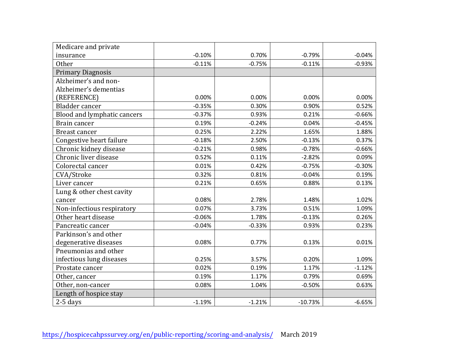| Medicare and private        |          |          |           |          |
|-----------------------------|----------|----------|-----------|----------|
| insurance                   | $-0.10%$ | 0.70%    | $-0.79%$  | $-0.04%$ |
| <b>Other</b>                | $-0.11%$ | $-0.75%$ | $-0.11%$  | $-0.93%$ |
| <b>Primary Diagnosis</b>    |          |          |           |          |
| Alzheimer's and non-        |          |          |           |          |
| Alzheimer's dementias       |          |          |           |          |
| (REFERENCE)                 | 0.00%    | 0.00%    | 0.00%     | 0.00%    |
| Bladder cancer              | $-0.35%$ | 0.30%    | 0.90%     | 0.52%    |
| Blood and lymphatic cancers | $-0.37%$ | 0.93%    | 0.21%     | $-0.66%$ |
| Brain cancer                | 0.19%    | $-0.24%$ | 0.04%     | $-0.45%$ |
| Breast cancer               | 0.25%    | 2.22%    | 1.65%     | 1.88%    |
| Congestive heart failure    | $-0.18%$ | 2.50%    | $-0.13%$  | 0.37%    |
| Chronic kidney disease      | $-0.21%$ | 0.98%    | $-0.78%$  | $-0.66%$ |
| Chronic liver disease       | 0.52%    | 0.11%    | $-2.82%$  | 0.09%    |
| Colorectal cancer           | 0.01%    | 0.42%    | $-0.75%$  | $-0.30%$ |
| CVA/Stroke                  | 0.32%    | 0.81%    | $-0.04%$  | 0.19%    |
| Liver cancer                | 0.21%    | 0.65%    | 0.88%     | 0.13%    |
| Lung & other chest cavity   |          |          |           |          |
| cancer                      | 0.08%    | 2.78%    | 1.48%     | 1.02%    |
| Non-infectious respiratory  | 0.07%    | 3.73%    | 0.51%     | 1.09%    |
| Other heart disease         | $-0.06%$ | 1.78%    | $-0.13%$  | 0.26%    |
| Pancreatic cancer           | $-0.04%$ | $-0.33%$ | 0.93%     | 0.23%    |
| Parkinson's and other       |          |          |           |          |
| degenerative diseases       | 0.08%    | 0.77%    | 0.13%     | 0.01%    |
| Pneumonias and other        |          |          |           |          |
| infectious lung diseases    | 0.25%    | 3.57%    | 0.20%     | 1.09%    |
| Prostate cancer             | 0.02%    | 0.19%    | 1.17%     | $-1.12%$ |
| Other, cancer               | 0.19%    | 1.17%    | 0.79%     | 0.69%    |
| Other, non-cancer           | 0.08%    | 1.04%    | $-0.50%$  | 0.63%    |
| Length of hospice stay      |          |          |           |          |
| $2-5$ days                  | $-1.19%$ | $-1.21%$ | $-10.73%$ | $-6.65%$ |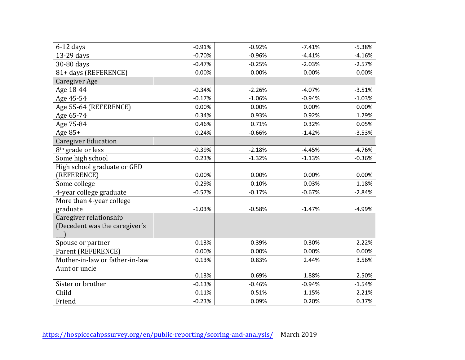| $6-12$ days                    | $-0.91%$ | $-0.92%$ | $-7.41%$ | $-5.38%$ |
|--------------------------------|----------|----------|----------|----------|
| 13-29 days                     | $-0.70%$ | $-0.96%$ | $-4.41%$ | $-4.16%$ |
| 30-80 days                     | $-0.47%$ | $-0.25%$ | $-2.03%$ | $-2.57%$ |
| 81+ days (REFERENCE)           | 0.00%    | 0.00%    | 0.00%    | 0.00%    |
| Caregiver Age                  |          |          |          |          |
| Age 18-44                      | $-0.34%$ | $-2.26%$ | $-4.07%$ | $-3.51%$ |
| Age 45-54                      | $-0.17%$ | $-1.06%$ | $-0.94%$ | $-1.03%$ |
| Age 55-64 (REFERENCE)          | 0.00%    | 0.00%    | 0.00%    | 0.00%    |
| Age 65-74                      | 0.34%    | 0.93%    | 0.92%    | 1.29%    |
| Age 75-84                      | 0.46%    | 0.71%    | 0.32%    | 0.05%    |
| Age $85+$                      | 0.24%    | $-0.66%$ | $-1.42%$ | $-3.53%$ |
| <b>Caregiver Education</b>     |          |          |          |          |
| 8 <sup>th</sup> grade or less  | $-0.39%$ | $-2.18%$ | $-4.45%$ | $-4.76%$ |
| Some high school               | 0.23%    | $-1.32%$ | $-1.13%$ | $-0.36%$ |
| High school graduate or GED    |          |          |          |          |
| (REFERENCE)                    | 0.00%    | 0.00%    | 0.00%    | 0.00%    |
| Some college                   | $-0.29%$ | $-0.10%$ | $-0.03%$ | $-1.18%$ |
| 4-year college graduate        | $-0.57%$ | $-0.17%$ | $-0.67%$ | $-2.84%$ |
| More than 4-year college       |          |          |          |          |
| graduate                       | $-1.03%$ | $-0.58%$ | $-1.47%$ | $-4.99%$ |
| Caregiver relationship         |          |          |          |          |
| (Decedent was the caregiver's  |          |          |          |          |
|                                |          |          |          |          |
| Spouse or partner              | 0.13%    | $-0.39%$ | $-0.30%$ | $-2.22%$ |
| Parent (REFERENCE)             | 0.00%    | 0.00%    | 0.00%    | 0.00%    |
| Mother-in-law or father-in-law | 0.13%    | 0.83%    | 2.44%    | 3.56%    |
| Aunt or uncle                  |          |          |          |          |
|                                | 0.13%    | 0.69%    | 1.88%    | 2.50%    |
| Sister or brother              | $-0.13%$ | $-0.46%$ | $-0.94%$ | $-1.54%$ |
| Child                          | $-0.11%$ | $-0.51%$ | $-1.15%$ | $-2.21%$ |
| Friend                         | $-0.23%$ | 0.09%    | 0.20%    | 0.37%    |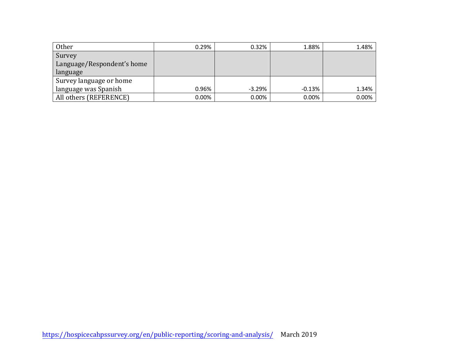| Other                      | 0.29% | 0.32%    | 1.88%    | 1.48%    |
|----------------------------|-------|----------|----------|----------|
| Survey                     |       |          |          |          |
| Language/Respondent's home |       |          |          |          |
| language                   |       |          |          |          |
| Survey language or home    |       |          |          |          |
| language was Spanish       | 0.96% | $-3.29%$ | $-0.13%$ | 1.34%    |
| All others (REFERENCE)     | 0.00% | 0.00%    | 0.00%    | $0.00\%$ |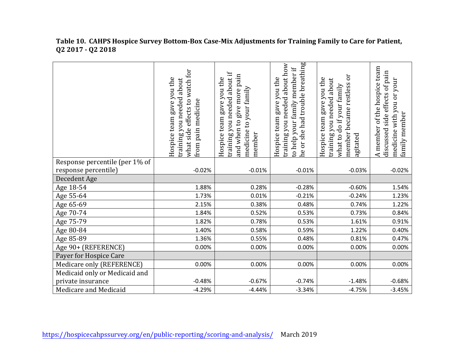|                   | Table 10. CAHPS Hospice Survey Bottom-Box Case-Mix Adjustments for Training Family to Care for Patient, |
|-------------------|---------------------------------------------------------------------------------------------------------|
| Q2 2017 - Q2 2018 |                                                                                                         |

|                                | watch for<br>Hospice team gave you the<br>training you needed about<br>what side effects to<br>pain medicine<br>from | training you needed about if<br>give more pain<br>Hospice team gave you the<br>medicine to your family<br>and when to<br>member | he or she had trouble breathing<br>training you needed about how<br>to help your family member if<br>gave you the<br>Hospice team | ör<br>Hospice team gave you the<br>training you needed about<br>member became restless<br>do if your family<br>agitated<br>what to | A member of the hospice team<br>discussed side effects of pain<br>medicine with you or your<br>family member |
|--------------------------------|----------------------------------------------------------------------------------------------------------------------|---------------------------------------------------------------------------------------------------------------------------------|-----------------------------------------------------------------------------------------------------------------------------------|------------------------------------------------------------------------------------------------------------------------------------|--------------------------------------------------------------------------------------------------------------|
| Response percentile (per 1% of |                                                                                                                      |                                                                                                                                 |                                                                                                                                   |                                                                                                                                    |                                                                                                              |
| response percentile)           | $-0.02%$                                                                                                             | $-0.01%$                                                                                                                        | $-0.01%$                                                                                                                          | $-0.03%$                                                                                                                           | $-0.02%$                                                                                                     |
| Decedent Age                   |                                                                                                                      |                                                                                                                                 |                                                                                                                                   |                                                                                                                                    |                                                                                                              |
| Age 18-54                      | 1.88%                                                                                                                | 0.28%                                                                                                                           | $-0.28%$                                                                                                                          | $-0.60%$                                                                                                                           | 1.54%                                                                                                        |
| Age 55-64                      | 1.73%                                                                                                                | 0.01%                                                                                                                           | $-0.21%$                                                                                                                          | $-0.24%$                                                                                                                           | 1.23%                                                                                                        |
| Age 65-69                      | 2.15%                                                                                                                | 0.38%                                                                                                                           | 0.48%                                                                                                                             | 0.74%                                                                                                                              | 1.22%                                                                                                        |
| Age 70-74                      | 1.84%                                                                                                                | 0.52%                                                                                                                           | 0.53%                                                                                                                             | 0.73%                                                                                                                              | 0.84%                                                                                                        |
| Age 75-79                      | 1.82%                                                                                                                | 0.78%                                                                                                                           | 0.53%                                                                                                                             | 1.61%                                                                                                                              | 0.91%                                                                                                        |
| Age 80-84                      | 1.40%                                                                                                                | 0.58%                                                                                                                           | 0.59%                                                                                                                             | 1.22%                                                                                                                              | 0.40%                                                                                                        |
| Age 85-89                      | 1.36%                                                                                                                | 0.55%                                                                                                                           | 0.48%                                                                                                                             | 0.81%                                                                                                                              | 0.47%                                                                                                        |
| Age 90+ (REFERENCE)            | 0.00%                                                                                                                | 0.00%                                                                                                                           | 0.00%                                                                                                                             | 0.00%                                                                                                                              | 0.00%                                                                                                        |
| Payer for Hospice Care         |                                                                                                                      |                                                                                                                                 |                                                                                                                                   |                                                                                                                                    |                                                                                                              |
| Medicare only (REFERENCE)      | 0.00%                                                                                                                | 0.00%                                                                                                                           | 0.00%                                                                                                                             | 0.00%                                                                                                                              | 0.00%                                                                                                        |
| Medicaid only or Medicaid and  |                                                                                                                      |                                                                                                                                 |                                                                                                                                   |                                                                                                                                    |                                                                                                              |
| private insurance              | $-0.48%$                                                                                                             | $-0.67%$                                                                                                                        | $-0.74%$                                                                                                                          | $-1.48%$                                                                                                                           | $-0.68%$                                                                                                     |
| Medicare and Medicaid          | $-4.29%$                                                                                                             | $-4.44%$                                                                                                                        | $-3.34%$                                                                                                                          | $-4.75%$                                                                                                                           | $-3.45%$                                                                                                     |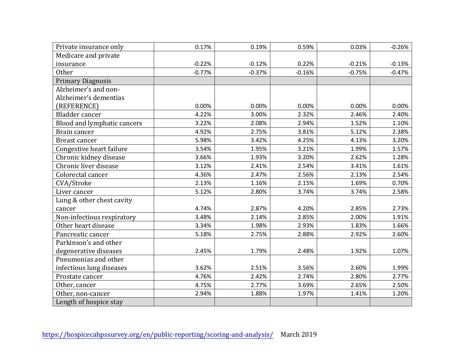| Private insurance only      | 0.17%    | 0.19%    | 0.59%    | 0.03%    | $-0.26%$ |
|-----------------------------|----------|----------|----------|----------|----------|
| Medicare and private        |          |          |          |          |          |
| insurance                   | $-0.22%$ | $-0.12%$ | 0.22%    | $-0.21%$ | $-0.13%$ |
| Other                       | $-0.77%$ | $-0.37%$ | $-0.16%$ | $-0.75%$ | $-0.47%$ |
| <b>Primary Diagnosis</b>    |          |          |          |          |          |
| Alzheimer's and non-        |          |          |          |          |          |
| Alzheimer's dementias       |          |          |          |          |          |
| (REFERENCE)                 | 0.00%    | 0.00%    | 0.00%    | 0.00%    | 0.00%    |
| Bladder cancer              | 4.22%    | 3.00%    | 2.32%    | 2.46%    | 2.40%    |
| Blood and lymphatic cancers | 3.22%    | 2.08%    | 2.94%    | 1.52%    | 1.10%    |
| Brain cancer                | 4.92%    | 2.75%    | 3.81%    | 5.12%    | 2.38%    |
| <b>Breast cancer</b>        | 5.98%    | 3.42%    | 4.25%    | 4.13%    | 3.20%    |
| Congestive heart failure    | 3.54%    | 1.95%    | 3.21%    | 1.99%    | 1.57%    |
| Chronic kidney disease      | 3.66%    | 1.93%    | 3.20%    | 2.62%    | 1.28%    |
| Chronic liver disease       | 3.12%    | 2.41%    | 2.54%    | 3.41%    | 1.61%    |
| Colorectal cancer           | 4.36%    | 2.47%    | 2.56%    | 2.13%    | 2.54%    |
| CVA/Stroke                  | 2.13%    | 1.16%    | 2.15%    | 1.69%    | 0.70%    |
| Liver cancer                | 5.12%    | 2.80%    | 3.74%    | 3.74%    | 2.58%    |
| Lung & other chest cavity   |          |          |          |          |          |
| cancer                      | 4.74%    | 2.87%    | 4.20%    | 2.85%    | 2.73%    |
| Non-infectious respiratory  | 3.48%    | 2.14%    | 2.85%    | 2.00%    | 1.91%    |
| Other heart disease         | 3.34%    | 1.98%    | 2.93%    | 1.83%    | 1.66%    |
| Pancreatic cancer           | 5.18%    | 2.75%    | 2.88%    | 2.92%    | 2.60%    |
| Parkinson's and other       |          |          |          |          |          |
| degenerative diseases       | 2.45%    | 1.79%    | 2.48%    | 1.92%    | 1.07%    |
| Pneumonias and other        |          |          |          |          |          |
| infectious lung diseases    | 3.62%    | 2.51%    | 3.56%    | 2.60%    | 1.99%    |
| Prostate cancer             | 4.76%    | 2.42%    | 2.74%    | 2.80%    | 2.77%    |
| Other, cancer               | 4.75%    | 2.77%    | 3.69%    | 2.65%    | 2.50%    |
| Other, non-cancer           | 2.94%    | 1.88%    | 1.97%    | 1.41%    | 1.20%    |
| Length of hospice stay      |          |          |          |          |          |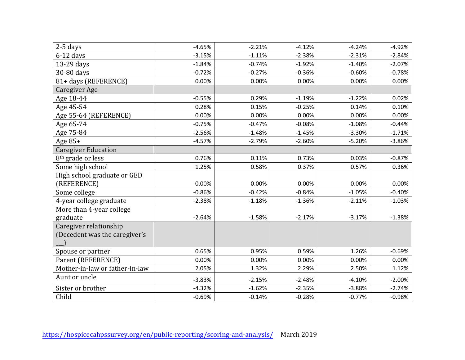| $2-5$ days                     | $-4.65%$ | $-2.21%$ | $-4.12%$ | $-4.24%$ | $-4.92%$ |
|--------------------------------|----------|----------|----------|----------|----------|
| $6-12$ days                    | $-3.15%$ | $-1.11%$ | $-2.38%$ | $-2.31%$ | $-2.84%$ |
| 13-29 days                     | $-1.84%$ | $-0.74%$ | $-1.92%$ | $-1.40%$ | $-2.07%$ |
| 30-80 days                     | $-0.72%$ | $-0.27%$ | $-0.36%$ | $-0.60%$ | $-0.78%$ |
| 81+ days (REFERENCE)           | 0.00%    | 0.00%    | 0.00%    | 0.00%    | 0.00%    |
| Caregiver Age                  |          |          |          |          |          |
| Age 18-44                      | $-0.55%$ | 0.29%    | $-1.19%$ | $-1.22%$ | 0.02%    |
| Age 45-54                      | 0.28%    | 0.15%    | $-0.25%$ | 0.14%    | 0.10%    |
| Age 55-64 (REFERENCE)          | 0.00%    | 0.00%    | 0.00%    | 0.00%    | 0.00%    |
| Age 65-74                      | $-0.75%$ | $-0.47%$ | $-0.08%$ | $-1.08%$ | $-0.44%$ |
| Age 75-84                      | $-2.56%$ | $-1.48%$ | $-1.45%$ | $-3.30%$ | $-1.71%$ |
| Age $85+$                      | $-4.57%$ | $-2.79%$ | $-2.60%$ | $-5.20%$ | $-3.86%$ |
| <b>Caregiver Education</b>     |          |          |          |          |          |
| 8 <sup>th</sup> grade or less  | 0.76%    | 0.11%    | 0.73%    | 0.03%    | $-0.87%$ |
| Some high school               | 1.25%    | 0.58%    | 0.37%    | 0.57%    | 0.36%    |
| High school graduate or GED    |          |          |          |          |          |
| (REFERENCE)                    | 0.00%    | 0.00%    | 0.00%    | 0.00%    | 0.00%    |
| Some college                   | $-0.86%$ | $-0.42%$ | $-0.84%$ | $-1.05%$ | $-0.40%$ |
| 4-year college graduate        | $-2.38%$ | $-1.18%$ | $-1.36%$ | $-2.11%$ | $-1.03%$ |
| More than 4-year college       |          |          |          |          |          |
| graduate                       | $-2.64%$ | $-1.58%$ | $-2.17%$ | $-3.17%$ | $-1.38%$ |
| Caregiver relationship         |          |          |          |          |          |
| (Decedent was the caregiver's  |          |          |          |          |          |
|                                |          |          |          |          |          |
| Spouse or partner              | 0.65%    | 0.95%    | 0.59%    | 1.26%    | $-0.69%$ |
| Parent (REFERENCE)             | 0.00%    | 0.00%    | 0.00%    | 0.00%    | 0.00%    |
| Mother-in-law or father-in-law | 2.05%    | 1.32%    | 2.29%    | 2.50%    | 1.12%    |
| Aunt or uncle                  | $-3.83%$ | $-2.15%$ | $-2.48%$ | $-4.10%$ | $-2.00%$ |
| Sister or brother              | $-4.32%$ | $-1.62%$ | $-2.35%$ | $-3.88%$ | $-2.74%$ |
| Child                          | $-0.69%$ | $-0.14%$ | $-0.28%$ | $-0.77%$ | $-0.98%$ |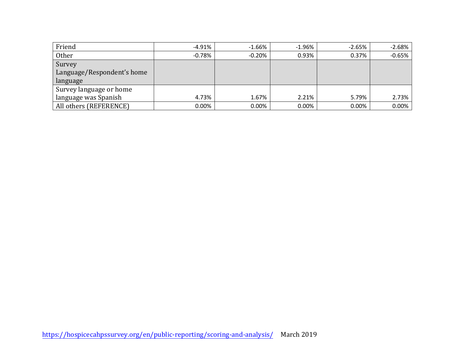| Friend                     | -4.91%   | $-1.66%$ | $-1.96%$ | $-2.65%$ | $-2.68%$ |
|----------------------------|----------|----------|----------|----------|----------|
| Other                      | $-0.78%$ | $-0.20%$ | 0.93%    | 0.37%    | $-0.65%$ |
| Survey                     |          |          |          |          |          |
| Language/Respondent's home |          |          |          |          |          |
| language                   |          |          |          |          |          |
| Survey language or home    |          |          |          |          |          |
| language was Spanish       | 4.73%    | 1.67%    | 2.21%    | 5.79%    | 2.73%    |
| All others (REFERENCE)     | $0.00\%$ | $0.00\%$ | 0.00%    | $0.00\%$ | 0.00%    |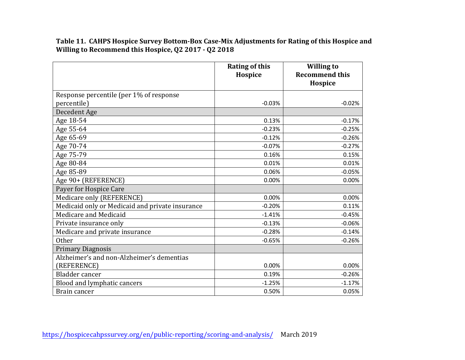**Table 11. CAHPS Hospice Survey Bottom-Box Case-Mix Adjustments for Rating of this Hospice and Willing to Recommend this Hospice, Q2 2017 - Q2 2018**

|                                                 | <b>Rating of this</b><br>Hospice | <b>Willing to</b><br><b>Recommend this</b> |
|-------------------------------------------------|----------------------------------|--------------------------------------------|
|                                                 |                                  | Hospice                                    |
| Response percentile (per 1% of response         |                                  |                                            |
| percentile)                                     | $-0.03%$                         | $-0.02%$                                   |
| Decedent Age                                    |                                  |                                            |
| Age 18-54                                       | 0.13%                            | $-0.17%$                                   |
| Age 55-64                                       | $-0.23%$                         | $-0.25%$                                   |
| Age 65-69                                       | $-0.12%$                         | $-0.26%$                                   |
| Age 70-74                                       | $-0.07%$                         | $-0.27%$                                   |
| Age 75-79                                       | 0.16%                            | 0.15%                                      |
| Age 80-84                                       | 0.01%                            | 0.01%                                      |
| Age 85-89                                       | 0.06%                            | $-0.05%$                                   |
| Age 90+ (REFERENCE)                             | 0.00%                            | 0.00%                                      |
| Payer for Hospice Care                          |                                  |                                            |
| Medicare only (REFERENCE)                       | 0.00%                            | 0.00%                                      |
| Medicaid only or Medicaid and private insurance | $-0.20%$                         | 0.11%                                      |
| Medicare and Medicaid                           | $-1.41%$                         | $-0.45%$                                   |
| Private insurance only                          | $-0.13%$                         | $-0.06%$                                   |
| Medicare and private insurance                  | $-0.28%$                         | $-0.14%$                                   |
| Other                                           | $-0.65%$                         | $-0.26%$                                   |
| <b>Primary Diagnosis</b>                        |                                  |                                            |
| Alzheimer's and non-Alzheimer's dementias       |                                  |                                            |
| (REFERENCE)                                     | 0.00%                            | 0.00%                                      |
| Bladder cancer                                  | 0.19%                            | $-0.26%$                                   |
| Blood and lymphatic cancers                     | $-1.25%$                         | $-1.17%$                                   |
| Brain cancer                                    | 0.50%                            | 0.05%                                      |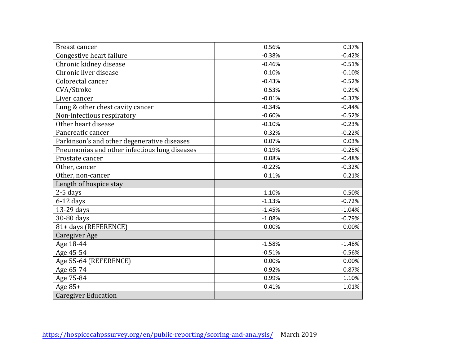| Breast cancer                                 | 0.56%    | 0.37%    |
|-----------------------------------------------|----------|----------|
| Congestive heart failure                      | $-0.38%$ | $-0.42%$ |
| Chronic kidney disease                        | $-0.46%$ | $-0.51%$ |
| Chronic liver disease                         | 0.10%    | $-0.10%$ |
| Colorectal cancer                             | $-0.43%$ | $-0.52%$ |
| CVA/Stroke                                    | 0.53%    | 0.29%    |
| Liver cancer                                  | $-0.01%$ | $-0.37%$ |
| Lung & other chest cavity cancer              | $-0.34%$ | $-0.44%$ |
| Non-infectious respiratory                    | $-0.60%$ | $-0.52%$ |
| Other heart disease                           | $-0.10%$ | $-0.23%$ |
| Pancreatic cancer                             | 0.32%    | $-0.22%$ |
| Parkinson's and other degenerative diseases   | 0.07%    | 0.03%    |
| Pneumonias and other infectious lung diseases | 0.19%    | $-0.25%$ |
| Prostate cancer                               | 0.08%    | $-0.48%$ |
| Other, cancer                                 | $-0.22%$ | $-0.32%$ |
| Other, non-cancer                             | $-0.11%$ | $-0.21%$ |
| Length of hospice stay                        |          |          |
| 2-5 days                                      | $-1.10%$ | $-0.50%$ |
| $6-12$ days                                   | $-1.13%$ | $-0.72%$ |
| 13-29 days                                    | $-1.45%$ | $-1.04%$ |
| 30-80 days                                    | $-1.08%$ | $-0.79%$ |
| 81+ days (REFERENCE)                          | 0.00%    | 0.00%    |
| <b>Caregiver Age</b>                          |          |          |
| Age 18-44                                     | $-1.58%$ | $-1.48%$ |
| Age 45-54                                     | $-0.51%$ | $-0.56%$ |
| Age 55-64 (REFERENCE)                         | 0.00%    | 0.00%    |
| Age 65-74                                     | 0.92%    | 0.87%    |
| Age 75-84                                     | 0.99%    | 1.10%    |
| Age 85+                                       | 0.41%    | 1.01%    |
| <b>Caregiver Education</b>                    |          |          |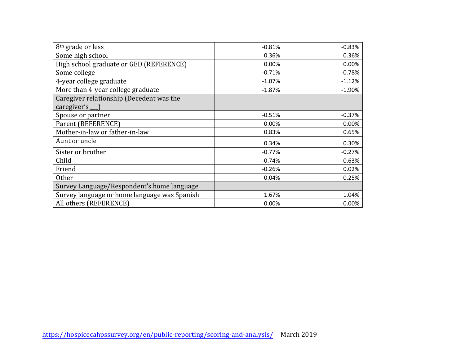| 8 <sup>th</sup> grade or less                                  | $-0.81%$ | $-0.83%$ |
|----------------------------------------------------------------|----------|----------|
| Some high school                                               | 0.36%    | 0.36%    |
| High school graduate or GED (REFERENCE)                        | 0.00%    | 0.00%    |
| Some college                                                   | $-0.71%$ | $-0.78%$ |
| 4-year college graduate                                        | $-1.07%$ | $-1.12%$ |
| More than 4-year college graduate                              | $-1.87%$ | $-1.90%$ |
| Caregiver relationship (Decedent was the<br>caregiver's $\Box$ |          |          |
| Spouse or partner                                              | $-0.51%$ | $-0.37%$ |
| Parent (REFERENCE)                                             | 0.00%    | 0.00%    |
| Mother-in-law or father-in-law                                 | 0.83%    | 0.65%    |
| Aunt or uncle                                                  | 0.34%    | 0.30%    |
| Sister or brother                                              | $-0.77%$ | $-0.27%$ |
| Child                                                          | $-0.74%$ | $-0.63%$ |
| Friend                                                         | $-0.26%$ | 0.02%    |
| <b>Other</b>                                                   | 0.04%    | 0.25%    |
| Survey Language/Respondent's home language                     |          |          |
| Survey language or home language was Spanish                   | 1.67%    | 1.04%    |
| All others (REFERENCE)                                         | 0.00%    | 0.00%    |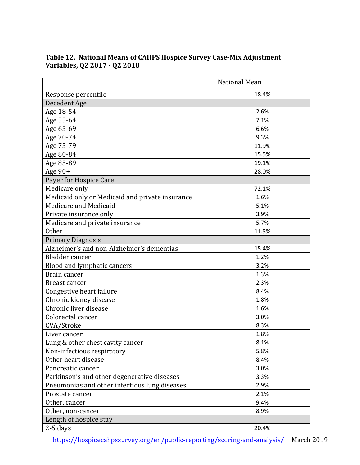|                                                 | <b>National Mean</b> |
|-------------------------------------------------|----------------------|
| Response percentile                             | 18.4%                |
| Decedent Age                                    |                      |
| Age 18-54                                       | 2.6%                 |
| Age 55-64                                       | 7.1%                 |
| Age 65-69                                       | 6.6%                 |
| Age 70-74                                       | 9.3%                 |
| Age 75-79                                       | 11.9%                |
| Age 80-84                                       | 15.5%                |
| Age 85-89                                       | 19.1%                |
| Age $90+$                                       | 28.0%                |
| Payer for Hospice Care                          |                      |
| Medicare only                                   | 72.1%                |
| Medicaid only or Medicaid and private insurance | 1.6%                 |
| Medicare and Medicaid                           | 5.1%                 |
| Private insurance only                          | 3.9%                 |
| Medicare and private insurance                  | 5.7%                 |
| <b>Other</b>                                    | 11.5%                |
| <b>Primary Diagnosis</b>                        |                      |
| Alzheimer's and non-Alzheimer's dementias       | 15.4%                |
| Bladder cancer                                  | 1.2%                 |
| Blood and lymphatic cancers                     | 3.2%                 |
| Brain cancer                                    | 1.3%                 |
| Breast cancer                                   | 2.3%                 |
| Congestive heart failure                        | 8.4%                 |
| Chronic kidney disease                          | 1.8%                 |
| Chronic liver disease                           | 1.6%                 |
| Colorectal cancer                               | 3.0%                 |
| CVA/Stroke                                      | 8.3%                 |
| Liver cancer                                    | 1.8%                 |
| Lung & other chest cavity cancer                | 8.1%                 |
| Non-infectious respiratory                      | 5.8%                 |
| Other heart disease                             | 8.4%                 |
| Pancreatic cancer                               | 3.0%                 |
| Parkinson's and other degenerative diseases     | 3.3%                 |
| Pneumonias and other infectious lung diseases   | 2.9%                 |
| Prostate cancer                                 | 2.1%                 |
| Other, cancer                                   | 9.4%                 |
| Other, non-cancer                               | 8.9%                 |
| Length of hospice stay                          |                      |
| $2-5$ days                                      | 20.4%                |

#### **Table 12. National Means of CAHPS Hospice Survey Case-Mix Adjustment Variables, Q2 2017 - Q2 2018**